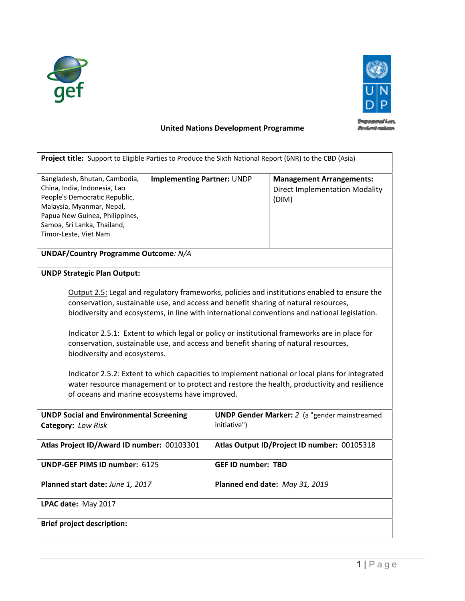



# **United Nations Development Programme**

| Project title: Support to Eligible Parties to Produce the Sixth National Report (6NR) to the CBD (Asia)                                                                                                                                                                                                                                                                                                                                                                                                                                                                                                                                                                                                                                                          |                                   |                                |                                                                                   |  |  |  |
|------------------------------------------------------------------------------------------------------------------------------------------------------------------------------------------------------------------------------------------------------------------------------------------------------------------------------------------------------------------------------------------------------------------------------------------------------------------------------------------------------------------------------------------------------------------------------------------------------------------------------------------------------------------------------------------------------------------------------------------------------------------|-----------------------------------|--------------------------------|-----------------------------------------------------------------------------------|--|--|--|
| Bangladesh, Bhutan, Cambodia,<br>China, India, Indonesia, Lao<br>People's Democratic Republic,<br>Malaysia, Myanmar, Nepal,<br>Papua New Guinea, Philippines,<br>Samoa, Sri Lanka, Thailand,<br>Timor-Leste, Viet Nam                                                                                                                                                                                                                                                                                                                                                                                                                                                                                                                                            | <b>Implementing Partner: UNDP</b> |                                | <b>Management Arrangements:</b><br><b>Direct Implementation Modality</b><br>(DIM) |  |  |  |
| <b>UNDAF/Country Programme Outcome: N/A</b>                                                                                                                                                                                                                                                                                                                                                                                                                                                                                                                                                                                                                                                                                                                      |                                   |                                |                                                                                   |  |  |  |
| <b>UNDP Strategic Plan Output:</b>                                                                                                                                                                                                                                                                                                                                                                                                                                                                                                                                                                                                                                                                                                                               |                                   |                                |                                                                                   |  |  |  |
| Output 2.5: Legal and regulatory frameworks, policies and institutions enabled to ensure the<br>conservation, sustainable use, and access and benefit sharing of natural resources,<br>biodiversity and ecosystems, in line with international conventions and national legislation.<br>Indicator 2.5.1: Extent to which legal or policy or institutional frameworks are in place for<br>conservation, sustainable use, and access and benefit sharing of natural resources,<br>biodiversity and ecosystems.<br>Indicator 2.5.2: Extent to which capacities to implement national or local plans for integrated<br>water resource management or to protect and restore the health, productivity and resilience<br>of oceans and marine ecosystems have improved. |                                   |                                |                                                                                   |  |  |  |
| <b>UNDP Social and Environmental Screening</b><br>Category: Low Risk                                                                                                                                                                                                                                                                                                                                                                                                                                                                                                                                                                                                                                                                                             |                                   | initiative")                   | <b>UNDP Gender Marker: 2</b> (a "gender mainstreamed                              |  |  |  |
| Atlas Project ID/Award ID number: 00103301                                                                                                                                                                                                                                                                                                                                                                                                                                                                                                                                                                                                                                                                                                                       |                                   |                                | Atlas Output ID/Project ID number: 00105318                                       |  |  |  |
| <b>UNDP-GEF PIMS ID number: 6125</b>                                                                                                                                                                                                                                                                                                                                                                                                                                                                                                                                                                                                                                                                                                                             |                                   | <b>GEF ID number: TBD</b>      |                                                                                   |  |  |  |
| Planned start date: June 1, 2017                                                                                                                                                                                                                                                                                                                                                                                                                                                                                                                                                                                                                                                                                                                                 |                                   | Planned end date: May 31, 2019 |                                                                                   |  |  |  |
| LPAC date: May 2017                                                                                                                                                                                                                                                                                                                                                                                                                                                                                                                                                                                                                                                                                                                                              |                                   |                                |                                                                                   |  |  |  |
| <b>Brief project description:</b>                                                                                                                                                                                                                                                                                                                                                                                                                                                                                                                                                                                                                                                                                                                                |                                   |                                |                                                                                   |  |  |  |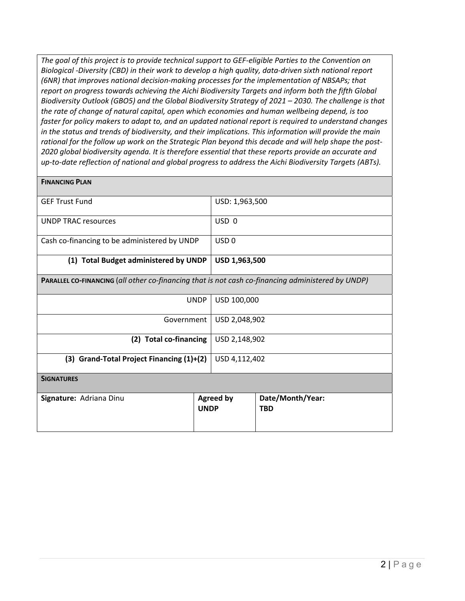*The goal of this project is to provide technical support to GEF‐eligible Parties to the Convention on Biological ‐Diversity (CBD) in their work to develop a high quality, data‐driven sixth national report (6NR) that improves national decision‐making processes for the implementation of NBSAPs; that report on progress towards achieving the Aichi Biodiversity Targets and inform both the fifth Global Biodiversity Outlook (GBO5) and the Global Biodiversity Strategy of 2021 – 2030. The challenge is that the rate of change of natural capital, open which economies and human wellbeing depend, is too faster for policy makers to adapt to, and an updated national report is required to understand changes in the status and trends of biodiversity, and their implications. This information will provide the main rational for the follow up work on the Strategic Plan beyond this decade and will help shape the post‐ 2020 global biodiversity agenda. It is therefore essential that these reports provide an accurate and up‐to‐date reflection of national and global progress to address the Aichi Biodiversity Targets (ABTs).* 

| <b>FINANCING PLAN</b>                                                                             |             |                  |                                |  |  |  |
|---------------------------------------------------------------------------------------------------|-------------|------------------|--------------------------------|--|--|--|
| <b>GEF Trust Fund</b>                                                                             |             | USD: 1,963,500   |                                |  |  |  |
| <b>UNDP TRAC resources</b>                                                                        |             | USD <sub>0</sub> |                                |  |  |  |
| Cash co-financing to be administered by UNDP                                                      |             | USD <sub>0</sub> |                                |  |  |  |
| (1) Total Budget administered by UNDP                                                             |             | USD 1,963,500    |                                |  |  |  |
| PARALLEL CO-FINANCING (all other co-financing that is not cash co-financing administered by UNDP) |             |                  |                                |  |  |  |
|                                                                                                   | <b>UNDP</b> | USD 100,000      |                                |  |  |  |
| Government                                                                                        |             | USD 2,048,902    |                                |  |  |  |
| (2) Total co-financing                                                                            |             | USD 2,148,902    |                                |  |  |  |
| (3) Grand-Total Project Financing (1)+(2)                                                         |             | USD 4,112,402    |                                |  |  |  |
| <b>SIGNATURES</b>                                                                                 |             |                  |                                |  |  |  |
| Signature: Adriana Dinu                                                                           | <b>UNDP</b> | <b>Agreed by</b> | Date/Month/Year:<br><b>TBD</b> |  |  |  |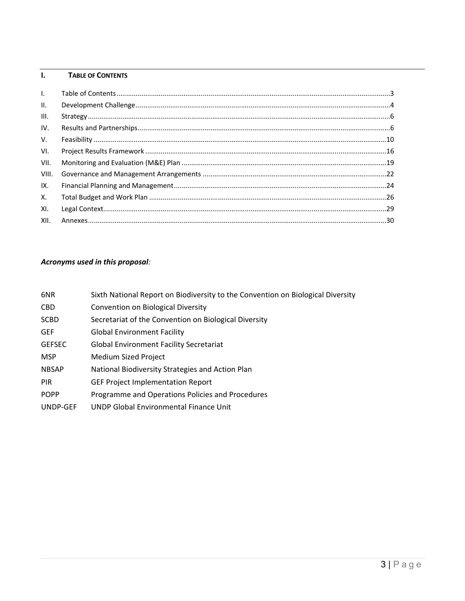### **I. TABLE OF CONTENTS**

| $\mathbf{L}$    |  |
|-----------------|--|
| $\mathbf{II}$ . |  |
| III.            |  |
| IV.             |  |
| V.              |  |
| VI.             |  |
| VII.            |  |
| VIII.           |  |
| IX.             |  |
| X.              |  |
| XI.             |  |
| XII.            |  |

# *Acronyms used in this proposal:*

| 6NR           | Sixth National Report on Biodiversity to the Convention on Biological Diversity |
|---------------|---------------------------------------------------------------------------------|
| CBD.          | Convention on Biological Diversity                                              |
| SCBD          | Secretariat of the Convention on Biological Diversity                           |
| <b>GEF</b>    | <b>Global Environment Facility</b>                                              |
| <b>GEFSEC</b> | <b>Global Environment Facility Secretariat</b>                                  |
| MSP           | <b>Medium Sized Project</b>                                                     |
| <b>NBSAP</b>  | National Biodiversity Strategies and Action Plan                                |
| <b>PIR</b>    | <b>GEF Project Implementation Report</b>                                        |
| <b>POPP</b>   | Programme and Operations Policies and Procedures                                |
| IINID CEC     | LINDR Clobal Environmental Einance Unit                                         |

UNDP‐GEF UNDP Global Environmental Finance Unit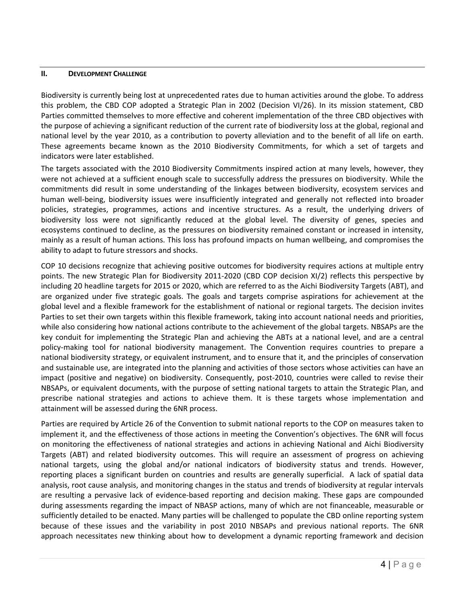### **II. DEVELOPMENT CHALLENGE**

Biodiversity is currently being lost at unprecedented rates due to human activities around the globe. To address this problem, the CBD COP adopted a Strategic Plan in 2002 (Decision VI/26). In its mission statement, CBD Parties committed themselves to more effective and coherent implementation of the three CBD objectives with the purpose of achieving a significant reduction of the current rate of biodiversity loss at the global, regional and national level by the year 2010, as a contribution to poverty alleviation and to the benefit of all life on earth. These agreements became known as the 2010 Biodiversity Commitments, for which a set of targets and indicators were later established.

The targets associated with the 2010 Biodiversity Commitments inspired action at many levels, however, they were not achieved at a sufficient enough scale to successfully address the pressures on biodiversity. While the commitments did result in some understanding of the linkages between biodiversity, ecosystem services and human well‐being, biodiversity issues were insufficiently integrated and generally not reflected into broader policies, strategies, programmes, actions and incentive structures. As a result, the underlying drivers of biodiversity loss were not significantly reduced at the global level. The diversity of genes, species and ecosystems continued to decline, as the pressures on biodiversity remained constant or increased in intensity, mainly as a result of human actions. This loss has profound impacts on human wellbeing, and compromises the ability to adapt to future stressors and shocks.

COP 10 decisions recognize that achieving positive outcomes for biodiversity requires actions at multiple entry points. The new Strategic Plan for Biodiversity 2011-2020 (CBD COP decision XI/2) reflects this perspective by including 20 headline targets for 2015 or 2020, which are referred to as the Aichi Biodiversity Targets (ABT), and are organized under five strategic goals. The goals and targets comprise aspirations for achievement at the global level and a flexible framework for the establishment of national or regional targets. The decision invites Parties to set their own targets within this flexible framework, taking into account national needs and priorities, while also considering how national actions contribute to the achievement of the global targets. NBSAPs are the key conduit for implementing the Strategic Plan and achieving the ABTs at a national level, and are a central policy-making tool for national biodiversity management. The Convention requires countries to prepare a national biodiversity strategy, or equivalent instrument, and to ensure that it, and the principles of conservation and sustainable use, are integrated into the planning and activities of those sectors whose activities can have an impact (positive and negative) on biodiversity. Consequently, post-2010, countries were called to revise their NBSAPs, or equivalent documents, with the purpose of setting national targets to attain the Strategic Plan, and prescribe national strategies and actions to achieve them. It is these targets whose implementation and attainment will be assessed during the 6NR process.

Parties are required by Article 26 of the Convention to submit national reports to the COP on measures taken to implement it, and the effectiveness of those actions in meeting the Convention's objectives. The 6NR will focus on monitoring the effectiveness of national strategies and actions in achieving National and Aichi Biodiversity Targets (ABT) and related biodiversity outcomes. This will require an assessment of progress on achieving national targets, using the global and/or national indicators of biodiversity status and trends. However, reporting places a significant burden on countries and results are generally superficial. A lack of spatial data analysis, root cause analysis, and monitoring changes in the status and trends of biodiversity at regular intervals are resulting a pervasive lack of evidence-based reporting and decision making. These gaps are compounded during assessments regarding the impact of NBASP actions, many of which are not financeable, measurable or sufficiently detailed to be enacted. Many parties will be challenged to populate the CBD online reporting system because of these issues and the variability in post 2010 NBSAPs and previous national reports. The 6NR approach necessitates new thinking about how to development a dynamic reporting framework and decision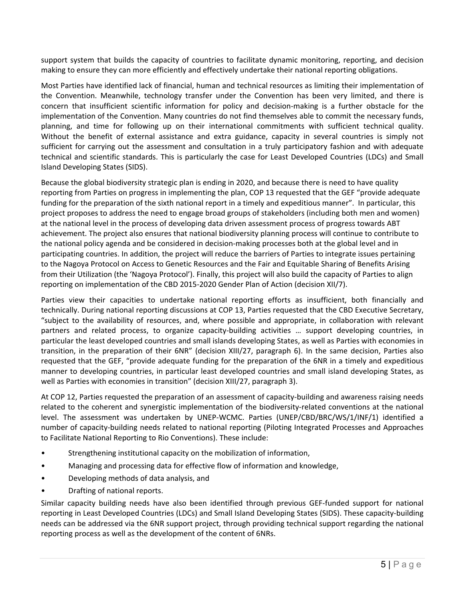support system that builds the capacity of countries to facilitate dynamic monitoring, reporting, and decision making to ensure they can more efficiently and effectively undertake their national reporting obligations.

Most Parties have identified lack of financial, human and technical resources as limiting their implementation of the Convention. Meanwhile, technology transfer under the Convention has been very limited, and there is concern that insufficient scientific information for policy and decision‐making is a further obstacle for the implementation of the Convention. Many countries do not find themselves able to commit the necessary funds, planning, and time for following up on their international commitments with sufficient technical quality. Without the benefit of external assistance and extra guidance, capacity in several countries is simply not sufficient for carrying out the assessment and consultation in a truly participatory fashion and with adequate technical and scientific standards. This is particularly the case for Least Developed Countries (LDCs) and Small Island Developing States (SIDS).

Because the global biodiversity strategic plan is ending in 2020, and because there is need to have quality reporting from Parties on progress in implementing the plan, COP 13 requested that the GEF "provide adequate funding for the preparation of the sixth national report in a timely and expeditious manner". In particular, this project proposes to address the need to engage broad groups of stakeholders (including both men and women) at the national level in the process of developing data driven assessment process of progress towards ABT achievement. The project also ensures that national biodiversity planning process will continue to contribute to the national policy agenda and be considered in decision‐making processes both at the global level and in participating countries. In addition, the project will reduce the barriers of Parties to integrate issues pertaining to the Nagoya Protocol on Access to Genetic Resources and the Fair and Equitable Sharing of Benefits Arising from their Utilization (the 'Nagoya Protocol'). Finally, this project will also build the capacity of Parties to align reporting on implementation of the CBD 2015‐2020 Gender Plan of Action (decision XII/7).

Parties view their capacities to undertake national reporting efforts as insufficient, both financially and technically. During national reporting discussions at COP 13, Parties requested that the CBD Executive Secretary, "subject to the availability of resources, and, where possible and appropriate, in collaboration with relevant partners and related process, to organize capacity-building activities ... support developing countries, in particular the least developed countries and small islands developing States, as well as Parties with economies in transition, in the preparation of their 6NR" (decision XIII/27, paragraph 6). In the same decision, Parties also requested that the GEF, "provide adequate funding for the preparation of the 6NR in a timely and expeditious manner to developing countries, in particular least developed countries and small island developing States, as well as Parties with economies in transition" (decision XIII/27, paragraph 3).

At COP 12, Parties requested the preparation of an assessment of capacity‐building and awareness raising needs related to the coherent and synergistic implementation of the biodiversity-related conventions at the national level. The assessment was undertaken by UNEP-WCMC. Parties (UNEP/CBD/BRC/WS/1/INF/1) identified a number of capacity‐building needs related to national reporting (Piloting Integrated Processes and Approaches to Facilitate National Reporting to Rio Conventions). These include:

- Strengthening institutional capacity on the mobilization of information,
- Managing and processing data for effective flow of information and knowledge,
- Developing methods of data analysis, and
- Drafting of national reports.

Similar capacity building needs have also been identified through previous GEF‐funded support for national reporting in Least Developed Countries (LDCs) and Small Island Developing States (SIDS). These capacity‐building needs can be addressed via the 6NR support project, through providing technical support regarding the national reporting process as well as the development of the content of 6NRs.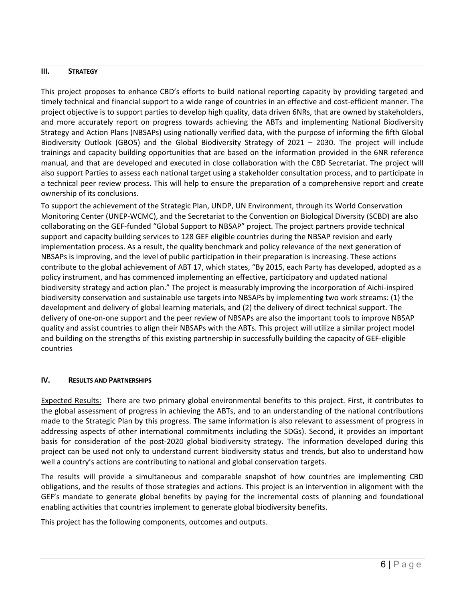### **III. STRATEGY**

This project proposes to enhance CBD's efforts to build national reporting capacity by providing targeted and timely technical and financial support to a wide range of countries in an effective and cost-efficient manner. The project objective is to support parties to develop high quality, data driven 6NRs, that are owned by stakeholders, and more accurately report on progress towards achieving the ABTs and implementing National Biodiversity Strategy and Action Plans (NBSAPs) using nationally verified data, with the purpose of informing the fifth Global Biodiversity Outlook (GBO5) and the Global Biodiversity Strategy of 2021 - 2030. The project will include trainings and capacity building opportunities that are based on the information provided in the 6NR reference manual, and that are developed and executed in close collaboration with the CBD Secretariat. The project will also support Parties to assess each national target using a stakeholder consultation process, and to participate in a technical peer review process. This will help to ensure the preparation of a comprehensive report and create ownership of its conclusions.

To support the achievement of the Strategic Plan, UNDP, UN Environment, through its World Conservation Monitoring Center (UNEP‐WCMC), and the Secretariat to the Convention on Biological Diversity (SCBD) are also collaborating on the GEF‐funded "Global Support to NBSAP" project. The project partners provide technical support and capacity building services to 128 GEF eligible countries during the NBSAP revision and early implementation process. As a result, the quality benchmark and policy relevance of the next generation of NBSAPs is improving, and the level of public participation in their preparation is increasing. These actions contribute to the global achievement of ABT 17, which states, "By 2015, each Party has developed, adopted as a policy instrument, and has commenced implementing an effective, participatory and updated national biodiversity strategy and action plan." The project is measurably improving the incorporation of Aichi‐inspired biodiversity conservation and sustainable use targets into NBSAPs by implementing two work streams: (1) the development and delivery of global learning materials, and (2) the delivery of direct technical support. The delivery of one‐on‐one support and the peer review of NBSAPs are also the important tools to improve NBSAP quality and assist countries to align their NBSAPs with the ABTs. This project will utilize a similar project model and building on the strengths of this existing partnership in successfully building the capacity of GEF‐eligible countries

### **IV. RESULTS AND PARTNERSHIPS**

Expected Results: There are two primary global environmental benefits to this project. First, it contributes to the global assessment of progress in achieving the ABTs, and to an understanding of the national contributions made to the Strategic Plan by this progress. The same information is also relevant to assessment of progress in addressing aspects of other international commitments including the SDGs). Second, it provides an important basis for consideration of the post‐2020 global biodiversity strategy. The information developed during this project can be used not only to understand current biodiversity status and trends, but also to understand how well a country's actions are contributing to national and global conservation targets.

The results will provide a simultaneous and comparable snapshot of how countries are implementing CBD obligations, and the results of those strategies and actions. This project is an intervention in alignment with the GEF's mandate to generate global benefits by paying for the incremental costs of planning and foundational enabling activities that countries implement to generate global biodiversity benefits.

This project has the following components, outcomes and outputs.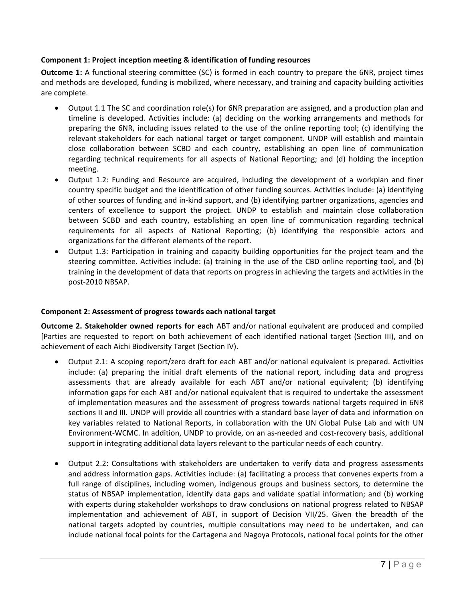### **Component 1: Project inception meeting & identification of funding resources**

**Outcome 1:** A functional steering committee (SC) is formed in each country to prepare the 6NR, project times and methods are developed, funding is mobilized, where necessary, and training and capacity building activities are complete.

- Output 1.1 The SC and coordination role(s) for 6NR preparation are assigned, and a production plan and timeline is developed. Activities include: (a) deciding on the working arrangements and methods for preparing the 6NR, including issues related to the use of the online reporting tool; (c) identifying the relevant stakeholders for each national target or target component. UNDP will establish and maintain close collaboration between SCBD and each country, establishing an open line of communication regarding technical requirements for all aspects of National Reporting; and (d) holding the inception meeting.
- Output 1.2: Funding and Resource are acquired, including the development of a workplan and finer country specific budget and the identification of other funding sources. Activities include: (a) identifying of other sources of funding and in‐kind support, and (b) identifying partner organizations, agencies and centers of excellence to support the project. UNDP to establish and maintain close collaboration between SCBD and each country, establishing an open line of communication regarding technical requirements for all aspects of National Reporting; (b) identifying the responsible actors and organizations for the different elements of the report.
- Output 1.3: Participation in training and capacity building opportunities for the project team and the steering committee. Activities include: (a) training in the use of the CBD online reporting tool, and (b) training in the development of data that reports on progress in achieving the targets and activities in the post‐2010 NBSAP.

### **Component 2: Assessment of progress towards each national target**

**Outcome 2. Stakeholder owned reports for each** ABT and/or national equivalent are produced and compiled [Parties are requested to report on both achievement of each identified national target (Section III), and on achievement of each Aichi Biodiversity Target (Section IV).

- Output 2.1: A scoping report/zero draft for each ABT and/or national equivalent is prepared. Activities include: (a) preparing the initial draft elements of the national report, including data and progress assessments that are already available for each ABT and/or national equivalent; (b) identifying information gaps for each ABT and/or national equivalent that is required to undertake the assessment of implementation measures and the assessment of progress towards national targets required in 6NR sections II and III. UNDP will provide all countries with a standard base layer of data and information on key variables related to National Reports, in collaboration with the UN Global Pulse Lab and with UN Environment‐WCMC. In addition, UNDP to provide, on an as‐needed and cost‐recovery basis, additional support in integrating additional data layers relevant to the particular needs of each country.
- Output 2.2: Consultations with stakeholders are undertaken to verify data and progress assessments and address information gaps. Activities include: (a) facilitating a process that convenes experts from a full range of disciplines, including women, indigenous groups and business sectors, to determine the status of NBSAP implementation, identify data gaps and validate spatial information; and (b) working with experts during stakeholder workshops to draw conclusions on national progress related to NBSAP implementation and achievement of ABT, in support of Decision VII/25. Given the breadth of the national targets adopted by countries, multiple consultations may need to be undertaken, and can include national focal points for the Cartagena and Nagoya Protocols, national focal points for the other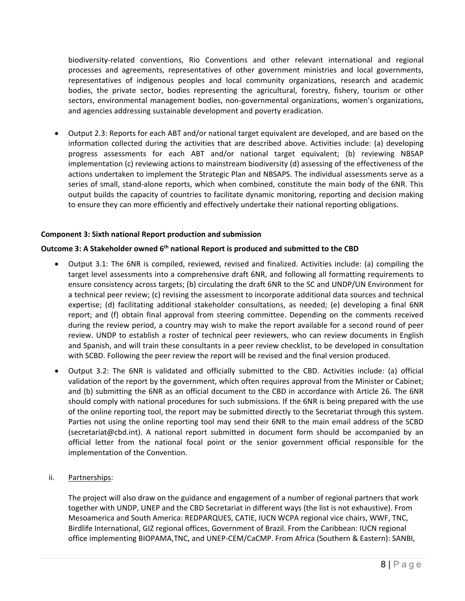biodiversity-related conventions, Rio Conventions and other relevant international and regional processes and agreements, representatives of other government ministries and local governments, representatives of indigenous peoples and local community organizations, research and academic bodies, the private sector, bodies representing the agricultural, forestry, fishery, tourism or other sectors, environmental management bodies, non-governmental organizations, women's organizations, and agencies addressing sustainable development and poverty eradication.

 Output 2.3: Reports for each ABT and/or national target equivalent are developed, and are based on the information collected during the activities that are described above. Activities include: (a) developing progress assessments for each ABT and/or national target equivalent; (b) reviewing NBSAP implementation (c) reviewing actions to mainstream biodiversity (d) assessing of the effectiveness of the actions undertaken to implement the Strategic Plan and NBSAPS. The individual assessments serve as a series of small, stand-alone reports, which when combined, constitute the main body of the 6NR. This output builds the capacity of countries to facilitate dynamic monitoring, reporting and decision making to ensure they can more efficiently and effectively undertake their national reporting obligations.

### **Component 3: Sixth national Report production and submission**

### **Outcome 3: A Stakeholder owned 6th national Report is produced and submitted to the CBD**

- Output 3.1: The 6NR is compiled, reviewed, revised and finalized. Activities include: (a) compiling the target level assessments into a comprehensive draft 6NR, and following all formatting requirements to ensure consistency across targets; (b) circulating the draft 6NR to the SC and UNDP/UN Environment for a technical peer review; (c) revising the assessment to incorporate additional data sources and technical expertise; (d) facilitating additional stakeholder consultations, as needed; (e) developing a final 6NR report; and (f) obtain final approval from steering committee. Depending on the comments received during the review period, a country may wish to make the report available for a second round of peer review. UNDP to establish a roster of technical peer reviewers, who can review documents in English and Spanish, and will train these consultants in a peer review checklist, to be developed in consultation with SCBD. Following the peer review the report will be revised and the final version produced.
- Output 3.2: The 6NR is validated and officially submitted to the CBD. Activities include: (a) official validation of the report by the government, which often requires approval from the Minister or Cabinet; and (b) submitting the 6NR as an official document to the CBD in accordance with Article 26. The 6NR should comply with national procedures for such submissions. If the 6NR is being prepared with the use of the online reporting tool, the report may be submitted directly to the Secretariat through this system. Parties not using the online reporting tool may send their 6NR to the main email address of the SCBD (secretariat@cbd.int). A national report submitted in document form should be accompanied by an official letter from the national focal point or the senior government official responsible for the implementation of the Convention.
- ii. Partnerships:

The project will also draw on the guidance and engagement of a number of regional partners that work together with UNDP, UNEP and the CBD Secretariat in different ways (the list is not exhaustive). From Mesoamerica and South America: REDPARQUES, CATIE, IUCN WCPA regional vice chairs, WWF, TNC, Birdlife International, GIZ regional offices, Government of Brazil. From the Caribbean: IUCN regional office implementing BIOPAMA,TNC, and UNEP‐CEM/CaCMP. From Africa (Southern & Eastern): SANBI,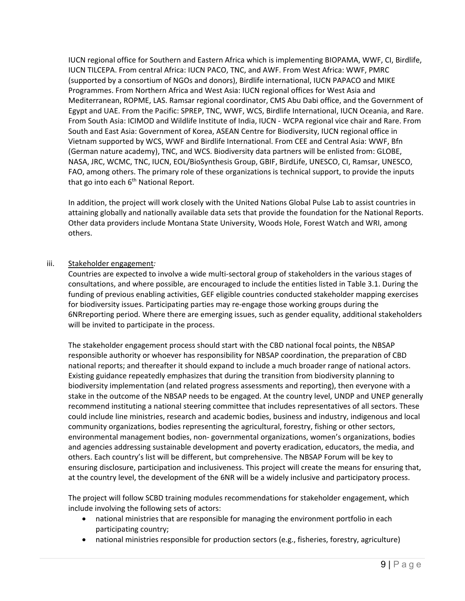IUCN regional office for Southern and Eastern Africa which is implementing BIOPAMA, WWF, CI, Birdlife, IUCN TILCEPA. From central Africa: IUCN PACO, TNC, and AWF. From West Africa: WWF, PMRC (supported by a consortium of NGOs and donors), Birdlife international, IUCN PAPACO and MIKE Programmes. From Northern Africa and West Asia: IUCN regional offices for West Asia and Mediterranean, ROPME, LAS. Ramsar regional coordinator, CMS Abu Dabi office, and the Government of Egypt and UAE. From the Pacific: SPREP, TNC, WWF, WCS, Birdlife International, IUCN Oceania, and Rare. From South Asia: ICIMOD and Wildlife Institute of India, IUCN ‐ WCPA regional vice chair and Rare. From South and East Asia: Government of Korea, ASEAN Centre for Biodiversity, IUCN regional office in Vietnam supported by WCS, WWF and Birdlife International. From CEE and Central Asia: WWF, Bfn (German nature academy), TNC, and WCS. Biodiversity data partners will be enlisted from: GLOBE, NASA, JRC, WCMC, TNC, IUCN, EOL/BioSynthesis Group, GBIF, BirdLife, UNESCO, CI, Ramsar, UNESCO, FAO, among others. The primary role of these organizations is technical support, to provide the inputs that go into each  $6<sup>th</sup>$  National Report.

In addition, the project will work closely with the United Nations Global Pulse Lab to assist countries in attaining globally and nationally available data sets that provide the foundation for the National Reports. Other data providers include Montana State University, Woods Hole, Forest Watch and WRI, among others.

### iii. Stakeholder engagement*:*

Countries are expected to involve a wide multi‐sectoral group of stakeholders in the various stages of consultations, and where possible, are encouraged to include the entities listed in Table 3.1. During the funding of previous enabling activities, GEF eligible countries conducted stakeholder mapping exercises for biodiversity issues. Participating parties may re-engage those working groups during the 6NRreporting period. Where there are emerging issues, such as gender equality, additional stakeholders will be invited to participate in the process.

The stakeholder engagement process should start with the CBD national focal points, the NBSAP responsible authority or whoever has responsibility for NBSAP coordination, the preparation of CBD national reports; and thereafter it should expand to include a much broader range of national actors. Existing guidance repeatedly emphasizes that during the transition from biodiversity planning to biodiversity implementation (and related progress assessments and reporting), then everyone with a stake in the outcome of the NBSAP needs to be engaged. At the country level, UNDP and UNEP generally recommend instituting a national steering committee that includes representatives of all sectors. These could include line ministries, research and academic bodies, business and industry, indigenous and local community organizations, bodies representing the agricultural, forestry, fishing or other sectors, environmental management bodies, non‐ governmental organizations, women's organizations, bodies and agencies addressing sustainable development and poverty eradication, educators, the media, and others. Each country's list will be different, but comprehensive. The NBSAP Forum will be key to ensuring disclosure, participation and inclusiveness. This project will create the means for ensuring that, at the country level, the development of the 6NR will be a widely inclusive and participatory process.

The project will follow SCBD training modules recommendations for stakeholder engagement, which include involving the following sets of actors:

- national ministries that are responsible for managing the environment portfolio in each participating country;
- national ministries responsible for production sectors (e.g., fisheries, forestry, agriculture)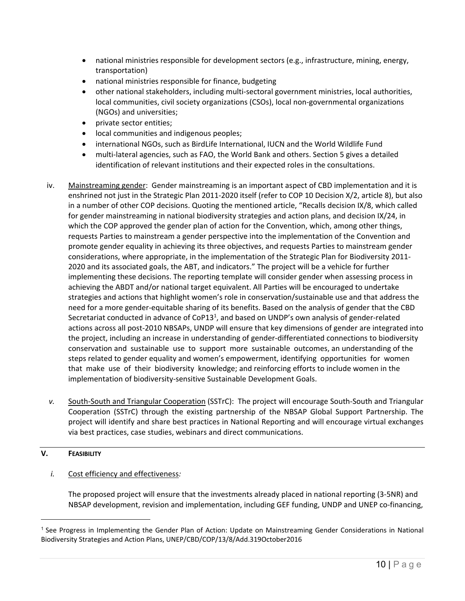- national ministries responsible for development sectors (e.g., infrastructure, mining, energy, transportation)
- national ministries responsible for finance, budgeting
- other national stakeholders, including multi‐sectoral government ministries, local authorities, local communities, civil society organizations (CSOs), local non‐governmental organizations (NGOs) and universities;
- private sector entities;
- local communities and indigenous peoples;
- international NGOs, such as BirdLife International, IUCN and the World Wildlife Fund
- multi-lateral agencies, such as FAO, the World Bank and others. Section 5 gives a detailed identification of relevant institutions and their expected roles in the consultations.
- iv. Mainstreaming gender: Gender mainstreaming is an important aspect of CBD implementation and it is enshrined not just in the Strategic Plan 2011-2020 itself (refer to COP 10 Decision X/2, article 8), but also in a number of other COP decisions. Quoting the mentioned article, "Recalls decision IX/8, which called for gender mainstreaming in national biodiversity strategies and action plans, and decision IX/24, in which the COP approved the gender plan of action for the Convention, which, among other things, requests Parties to mainstream a gender perspective into the implementation of the Convention and promote gender equality in achieving its three objectives, and requests Parties to mainstream gender considerations, where appropriate, in the implementation of the Strategic Plan for Biodiversity 2011‐ 2020 and its associated goals, the ABT, and indicators." The project will be a vehicle for further implementing these decisions. The reporting template will consider gender when assessing process in achieving the ABDT and/or national target equivalent. All Parties will be encouraged to undertake strategies and actions that highlight women's role in conservation/sustainable use and that address the need for a more gender‐equitable sharing of its benefits. Based on the analysis of gender that the CBD Secretariat conducted in advance of CoP13<sup>1</sup>, and based on UNDP's own analysis of gender-related actions across all post‐2010 NBSAPs, UNDP will ensure that key dimensions of gender are integrated into the project, including an increase in understanding of gender‐differentiated connections to biodiversity conservation and sustainable use to support more sustainable outcomes, an understanding of the steps related to gender equality and women's empowerment, identifying opportunities for women that make use of their biodiversity knowledge; and reinforcing efforts to include women in the implementation of biodiversity‐sensitive Sustainable Development Goals.
- *v.* South‐South and Triangular Cooperation (SSTrC): The project will encourage South‐South and Triangular Cooperation (SSTrC) through the existing partnership of the NBSAP Global Support Partnership. The project will identify and share best practices in National Reporting and will encourage virtual exchanges via best practices, case studies, webinars and direct communications.

### **V. FEASIBILITY**

### *i.* Cost efficiency and effectiveness*:*

The proposed project will ensure that the investments already placed in national reporting (3‐5NR) and NBSAP development, revision and implementation, including GEF funding, UNDP and UNEP co‐financing,

<sup>&</sup>lt;sup>1</sup> See Progress in Implementing the Gender Plan of Action: Update on Mainstreaming Gender Considerations in National Biodiversity Strategies and Action Plans, UNEP/CBD/COP/13/8/Add.319October2016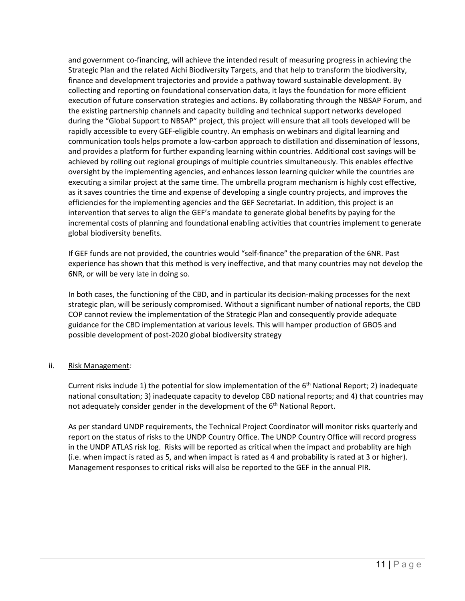and government co‐financing, will achieve the intended result of measuring progress in achieving the Strategic Plan and the related Aichi Biodiversity Targets, and that help to transform the biodiversity, finance and development trajectories and provide a pathway toward sustainable development. By collecting and reporting on foundational conservation data, it lays the foundation for more efficient execution of future conservation strategies and actions. By collaborating through the NBSAP Forum, and the existing partnership channels and capacity building and technical support networks developed during the "Global Support to NBSAP" project, this project will ensure that all tools developed will be rapidly accessible to every GEF‐eligible country. An emphasis on webinars and digital learning and communication tools helps promote a low‐carbon approach to distillation and dissemination of lessons, and provides a platform for further expanding learning within countries. Additional cost savings will be achieved by rolling out regional groupings of multiple countries simultaneously. This enables effective oversight by the implementing agencies, and enhances lesson learning quicker while the countries are executing a similar project at the same time. The umbrella program mechanism is highly cost effective, as it saves countries the time and expense of developing a single country projects, and improves the efficiencies for the implementing agencies and the GEF Secretariat. In addition, this project is an intervention that serves to align the GEF's mandate to generate global benefits by paying for the incremental costs of planning and foundational enabling activities that countries implement to generate global biodiversity benefits.

If GEF funds are not provided, the countries would "self‐finance" the preparation of the 6NR. Past experience has shown that this method is very ineffective, and that many countries may not develop the 6NR, or will be very late in doing so.

In both cases, the functioning of the CBD, and in particular its decision‐making processes for the next strategic plan, will be seriously compromised. Without a significant number of national reports, the CBD COP cannot review the implementation of the Strategic Plan and consequently provide adequate guidance for the CBD implementation at various levels. This will hamper production of GBO5 and possible development of post‐2020 global biodiversity strategy

### ii. Risk Management*:*

Current risks include 1) the potential for slow implementation of the 6<sup>th</sup> National Report; 2) inadequate national consultation; 3) inadequate capacity to develop CBD national reports; and 4) that countries may not adequately consider gender in the development of the 6<sup>th</sup> National Report.

As per standard UNDP requirements, the Technical Project Coordinator will monitor risks quarterly and report on the status of risks to the UNDP Country Office. The UNDP Country Office will record progress in the UNDP ATLAS risk log. Risks will be reported as critical when the impact and probablity are high (i.e. when impact is rated as 5, and when impact is rated as 4 and probability is rated at 3 or higher). Management responses to critical risks will also be reported to the GEF in the annual PIR.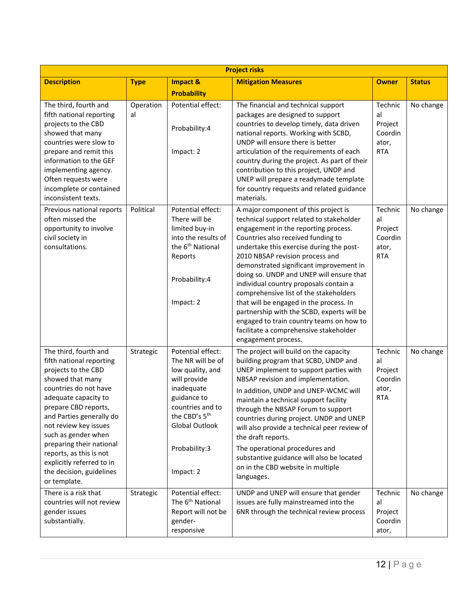|                                                                                                                                                                                                                                                                                                                                                                                   | <b>Project risks</b> |                                                                                                                                                                                                          |                                                                                                                                                                                                                                                                                                                                                                                                                                                                                                                                                                                                                                |                                                            |               |  |  |  |
|-----------------------------------------------------------------------------------------------------------------------------------------------------------------------------------------------------------------------------------------------------------------------------------------------------------------------------------------------------------------------------------|----------------------|----------------------------------------------------------------------------------------------------------------------------------------------------------------------------------------------------------|--------------------------------------------------------------------------------------------------------------------------------------------------------------------------------------------------------------------------------------------------------------------------------------------------------------------------------------------------------------------------------------------------------------------------------------------------------------------------------------------------------------------------------------------------------------------------------------------------------------------------------|------------------------------------------------------------|---------------|--|--|--|
| <b>Description</b>                                                                                                                                                                                                                                                                                                                                                                | <b>Type</b>          | <b>Impact &amp;</b>                                                                                                                                                                                      | <b>Mitigation Measures</b>                                                                                                                                                                                                                                                                                                                                                                                                                                                                                                                                                                                                     | <b>Owner</b>                                               | <b>Status</b> |  |  |  |
|                                                                                                                                                                                                                                                                                                                                                                                   |                      | <b>Probability</b>                                                                                                                                                                                       |                                                                                                                                                                                                                                                                                                                                                                                                                                                                                                                                                                                                                                |                                                            |               |  |  |  |
| The third, fourth and<br>fifth national reporting<br>projects to the CBD<br>showed that many<br>countries were slow to<br>prepare and remit this<br>information to the GEF<br>implementing agency.<br>Often requests were<br>incomplete or contained<br>inconsistent texts.                                                                                                       | Operation<br>al      | Potential effect:<br>Probability:4<br>Impact: 2                                                                                                                                                          | The financial and technical support<br>packages are designed to support<br>countries to develop timely, data driven<br>national reports. Working with SCBD,<br>UNDP will ensure there is better<br>articulation of the requirements of each<br>country during the project. As part of their<br>contribution to this project, UNDP and<br>UNEP will prepare a readymade template<br>for country requests and related guidance<br>materials.                                                                                                                                                                                     | Technic<br>al<br>Project<br>Coordin<br>ator,<br><b>RTA</b> | No change     |  |  |  |
| Previous national reports<br>often missed the<br>opportunity to involve<br>civil society in<br>consultations.                                                                                                                                                                                                                                                                     | Political            | Potential effect:<br>There will be<br>limited buy-in<br>into the results of<br>the 6 <sup>th</sup> National<br>Reports<br>Probability:4<br>Impact: 2                                                     | A major component of this project is<br>technical support related to stakeholder<br>engagement in the reporting process.<br>Countries also received funding to<br>undertake this exercise during the post-<br>2010 NBSAP revision process and<br>demonstrated significant improvement in<br>doing so. UNDP and UNEP will ensure that<br>individual country proposals contain a<br>comprehensive list of the stakeholders<br>that will be engaged in the process. In<br>partnership with the SCBD, experts will be<br>engaged to train country teams on how to<br>facilitate a comprehensive stakeholder<br>engagement process. | Technic<br>al<br>Project<br>Coordin<br>ator,<br><b>RTA</b> | No change     |  |  |  |
| The third, fourth and<br>fifth national reporting<br>projects to the CBD<br>showed that many<br>countries do not have<br>adequate capacity to<br>prepare CBD reports,<br>and Parties generally do<br>not review key issues<br>such as gender when<br>preparing their national<br>reports, as this is not<br>explicitly referred to in<br>the decision, guidelines<br>or template. | Strategic            | Potential effect:<br>The NR will be of<br>low quality, and<br>will provide<br>inadequate<br>guidance to<br>countries and to<br>the CBD's 5 <sup>th</sup><br>Global Outlook<br>Probability:3<br>Impact: 2 | The project will build on the capacity<br>building program that SCBD, UNDP and<br>UNEP implement to support parties with<br>NBSAP revision and implementation.<br>In addition, UNDP and UNEP-WCMC will<br>maintain a technical support facility<br>through the NBSAP Forum to support<br>countries during project. UNDP and UNEP<br>will also provide a technical peer review of<br>the draft reports.<br>The operational procedures and<br>substantive guidance will also be located<br>on in the CBD website in multiple<br>languages.                                                                                       | Technic<br>al<br>Project<br>Coordin<br>ator,<br><b>RTA</b> | No change     |  |  |  |
| There is a risk that<br>countries will not review<br>gender issues<br>substantially.                                                                                                                                                                                                                                                                                              | Strategic            | Potential effect:<br>The 6 <sup>th</sup> National<br>Report will not be<br>gender-<br>responsive                                                                                                         | UNDP and UNEP will ensure that gender<br>issues are fully mainstreamed into the<br>6NR through the technical review process                                                                                                                                                                                                                                                                                                                                                                                                                                                                                                    | Technic<br>al<br>Project<br>Coordin<br>ator,               | No change     |  |  |  |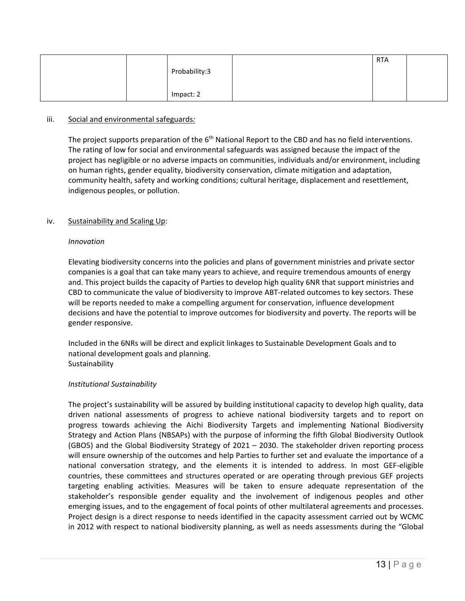|  |               | <b>RTA</b> |  |
|--|---------------|------------|--|
|  | Probability:3 |            |  |
|  |               |            |  |
|  | Impact: 2     |            |  |

### iii. Social and environmental safeguards*:*

The project supports preparation of the  $6<sup>th</sup>$  National Report to the CBD and has no field interventions. The rating of low for social and environmental safeguards was assigned because the impact of the project has negligible or no adverse impacts on communities, individuals and/or environment, including on human rights, gender equality, biodiversity conservation, climate mitigation and adaptation, community health, safety and working conditions; cultural heritage, displacement and resettlement, indigenous peoples, or pollution.

### iv. Sustainability and Scaling Up:

### *Innovation*

Elevating biodiversity concerns into the policies and plans of government ministries and private sector companies is a goal that can take many years to achieve, and require tremendous amounts of energy and. This project builds the capacity of Parties to develop high quality 6NR that support ministries and CBD to communicate the value of biodiversity to improve ABT‐related outcomes to key sectors. These will be reports needed to make a compelling argument for conservation, influence development decisions and have the potential to improve outcomes for biodiversity and poverty. The reports will be gender responsive.

Included in the 6NRs will be direct and explicit linkages to Sustainable Development Goals and to national development goals and planning. Sustainability

### *Institutional Sustainability*

The project's sustainability will be assured by building institutional capacity to develop high quality, data driven national assessments of progress to achieve national biodiversity targets and to report on progress towards achieving the Aichi Biodiversity Targets and implementing National Biodiversity Strategy and Action Plans (NBSAPs) with the purpose of informing the fifth Global Biodiversity Outlook (GBO5) and the Global Biodiversity Strategy of 2021 – 2030. The stakeholder driven reporting process will ensure ownership of the outcomes and help Parties to further set and evaluate the importance of a national conversation strategy, and the elements it is intended to address. In most GEF‐eligible countries, these committees and structures operated or are operating through previous GEF projects targeting enabling activities. Measures will be taken to ensure adequate representation of the stakeholder's responsible gender equality and the involvement of indigenous peoples and other emerging issues, and to the engagement of focal points of other multilateral agreements and processes. Project design is a direct response to needs identified in the capacity assessment carried out by WCMC in 2012 with respect to national biodiversity planning, as well as needs assessments during the "Global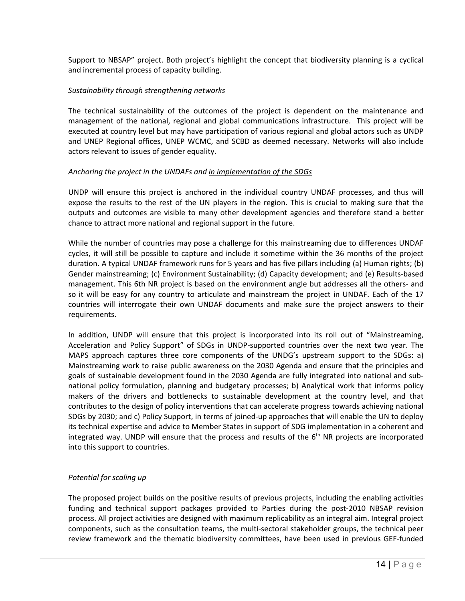Support to NBSAP" project. Both project's highlight the concept that biodiversity planning is a cyclical and incremental process of capacity building.

### *Sustainability through strengthening networks*

The technical sustainability of the outcomes of the project is dependent on the maintenance and management of the national, regional and global communications infrastructure. This project will be executed at country level but may have participation of various regional and global actors such as UNDP and UNEP Regional offices, UNEP WCMC, and SCBD as deemed necessary. Networks will also include actors relevant to issues of gender equality.

### *Anchoring the project in the UNDAFs and in implementation of the SDGs*

UNDP will ensure this project is anchored in the individual country UNDAF processes, and thus will expose the results to the rest of the UN players in the region. This is crucial to making sure that the outputs and outcomes are visible to many other development agencies and therefore stand a better chance to attract more national and regional support in the future.

While the number of countries may pose a challenge for this mainstreaming due to differences UNDAF cycles, it will still be possible to capture and include it sometime within the 36 months of the project duration. A typical UNDAF framework runs for 5 years and has five pillars including (a) Human rights; (b) Gender mainstreaming; (c) Environment Sustainability; (d) Capacity development; and (e) Results‐based management. This 6th NR project is based on the environment angle but addresses all the others‐ and so it will be easy for any country to articulate and mainstream the project in UNDAF. Each of the 17 countries will interrogate their own UNDAF documents and make sure the project answers to their requirements.

In addition, UNDP will ensure that this project is incorporated into its roll out of "Mainstreaming, Acceleration and Policy Support" of SDGs in UNDP‐supported countries over the next two year. The MAPS approach captures three core components of the UNDG's upstream support to the SDGs: a) Mainstreaming work to raise public awareness on the 2030 Agenda and ensure that the principles and goals of sustainable development found in the 2030 Agenda are fully integrated into national and sub‐ national policy formulation, planning and budgetary processes; b) Analytical work that informs policy makers of the drivers and bottlenecks to sustainable development at the country level, and that contributes to the design of policy interventions that can accelerate progress towards achieving national SDGs by 2030; and c) Policy Support, in terms of joined‐up approaches that will enable the UN to deploy its technical expertise and advice to Member States in support of SDG implementation in a coherent and integrated way. UNDP will ensure that the process and results of the  $6<sup>th</sup>$  NR projects are incorporated into this support to countries.

### *Potential for scaling up*

The proposed project builds on the positive results of previous projects, including the enabling activities funding and technical support packages provided to Parties during the post-2010 NBSAP revision process. All project activities are designed with maximum replicability as an integral aim. Integral project components, such as the consultation teams, the multi‐sectoral stakeholder groups, the technical peer review framework and the thematic biodiversity committees, have been used in previous GEF-funded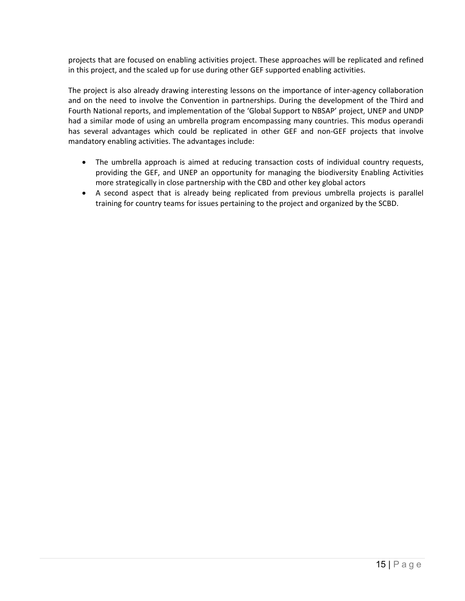projects that are focused on enabling activities project. These approaches will be replicated and refined in this project, and the scaled up for use during other GEF supported enabling activities.

The project is also already drawing interesting lessons on the importance of inter‐agency collaboration and on the need to involve the Convention in partnerships. During the development of the Third and Fourth National reports, and implementation of the 'Global Support to NBSAP' project, UNEP and UNDP had a similar mode of using an umbrella program encompassing many countries. This modus operandi has several advantages which could be replicated in other GEF and non-GEF projects that involve mandatory enabling activities. The advantages include:

- The umbrella approach is aimed at reducing transaction costs of individual country requests, providing the GEF, and UNEP an opportunity for managing the biodiversity Enabling Activities more strategically in close partnership with the CBD and other key global actors
- A second aspect that is already being replicated from previous umbrella projects is parallel training for country teams for issues pertaining to the project and organized by the SCBD.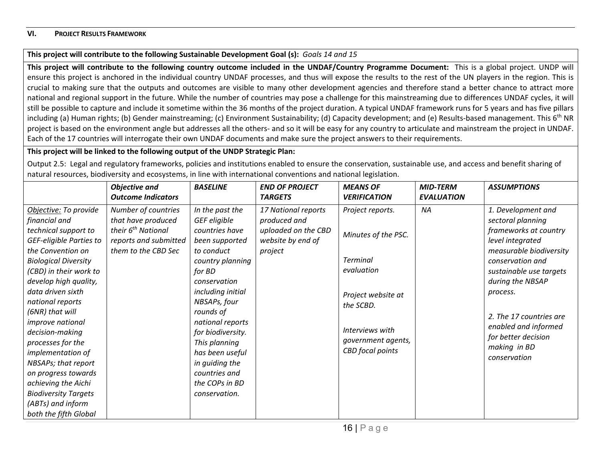#### **VI.PROJECT RESULTS FRAMEWORK**

### This project will contribute to the following Sustainable Development Goal (s): *Goals 14 and 15*

This project will contribute to the following country outcome included in the UNDAF/Country Programme Document: This is a global project. UNDP will ensure this project is anchored in the individual country UNDAF processes, and thus will expose the results to the rest of the UN players in the region. This is crucial to making sure that the outputs and outcomes are visible to many other development agencies and therefore stand a better chance to attract more national and regional support in the future. While the number of countries may pose a challenge for this mainstreaming due to differences UNDAF cycles, it will still be possible to capture and include it sometime within the 36 months of the project duration. A typical UNDAF framework runs for 5 years and has five pillars including (a) Human rights; (b) Gender mainstreaming; (c) Environment Sustainability; (d) Capacity development; and (e) Results-based management. This 6<sup>th</sup> NR project is based on the environment angle but addresses all the others- and so it will be easy for any country to articulate and mainstream the project in UNDAF. Each of the 17 countries will interrogate their own UNDAF documents and make sure the project answers to their requirements.

### **This project will be linked to the following output of the UNDP Strategic Plan:**

Output 2.5: Legal and regulatory frameworks, policies and institutions enabled to ensure the conservation, sustainable use, and access and benefit sharing of natural resources, biodiversity and ecosystems, in line with international conventions and national legislation.

|                             | <b>Objective and</b>           | <b>BASELINE</b>   | <b>END OF PROJECT</b> | <b>MEANS OF</b>            | <b>MID-TERM</b>   | <b>ASSUMPTIONS</b>      |
|-----------------------------|--------------------------------|-------------------|-----------------------|----------------------------|-------------------|-------------------------|
|                             | <b>Outcome Indicators</b>      |                   | <b>TARGETS</b>        | <b><i>VERIFICATION</i></b> | <b>EVALUATION</b> |                         |
| Objective: To provide       | Number of countries            | In the past the   | 17 National reports   | Project reports.           | NA                | 1. Development and      |
| financial and               | that have produced             | GEF eligible      | produced and          |                            |                   | sectoral planning       |
| technical support to        | their 6 <sup>th</sup> National | countries have    | uploaded on the CBD   | Minutes of the PSC.        |                   | frameworks at country   |
| GEF-eligible Parties to     | reports and submitted          | been supported    | website by end of     |                            |                   | level integrated        |
| the Convention on           | them to the CBD Sec            | to conduct        | project               |                            |                   | measurable biodiversity |
| <b>Biological Diversity</b> |                                | country planning  |                       | <b>Terminal</b>            |                   | conservation and        |
| (CBD) in their work to      |                                | for BD            |                       | evaluation                 |                   | sustainable use targets |
| develop high quality,       |                                | conservation      |                       |                            |                   | during the NBSAP        |
| data driven sixth           |                                | including initial |                       | Project website at         |                   | process.                |
| national reports            |                                | NBSAPs, four      |                       | the SCBD.                  |                   |                         |
| (6NR) that will             |                                | rounds of         |                       |                            |                   | 2. The 17 countries are |
| <i>improve national</i>     |                                | national reports  |                       |                            |                   | enabled and informed    |
| decision-making             |                                | for biodiversity. |                       | Interviews with            |                   | for better decision     |
| processes for the           |                                | This planning     |                       | government agents,         |                   | making in BD            |
| implementation of           |                                | has been useful   |                       | CBD focal points           |                   | conservation            |
| NBSAPs; that report         |                                | in guiding the    |                       |                            |                   |                         |
| on progress towards         |                                | countries and     |                       |                            |                   |                         |
| achieving the Aichi         |                                | the COPs in BD    |                       |                            |                   |                         |
| <b>Biodiversity Targets</b> |                                | conservation.     |                       |                            |                   |                         |
| (ABTs) and inform           |                                |                   |                       |                            |                   |                         |
| both the fifth Global       |                                |                   |                       |                            |                   |                         |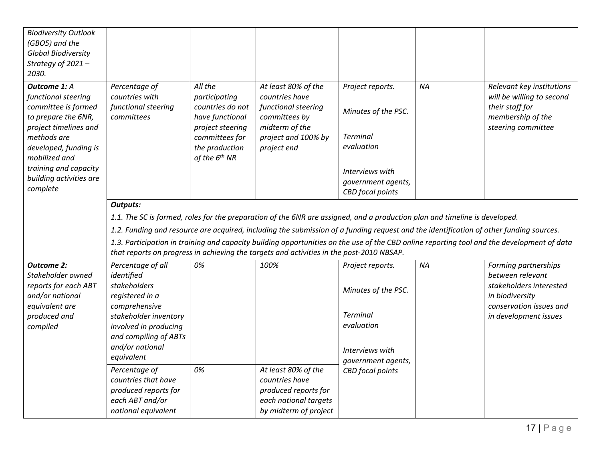| <b>Biodiversity Outlook</b><br>(GBO5) and the<br><b>Global Biodiversity</b><br>Strategy of 2021-<br>2030.                                                                                                                           |                                                                                                                                                                                                 |                                                                                                                                               |                                                                                                                                                                                                                                                                                                                                                                  |                                                                                                                                              |           |                                                                                                                                            |
|-------------------------------------------------------------------------------------------------------------------------------------------------------------------------------------------------------------------------------------|-------------------------------------------------------------------------------------------------------------------------------------------------------------------------------------------------|-----------------------------------------------------------------------------------------------------------------------------------------------|------------------------------------------------------------------------------------------------------------------------------------------------------------------------------------------------------------------------------------------------------------------------------------------------------------------------------------------------------------------|----------------------------------------------------------------------------------------------------------------------------------------------|-----------|--------------------------------------------------------------------------------------------------------------------------------------------|
| Outcome 1: A<br>functional steering<br>committee is formed<br>to prepare the 6NR,<br>project timelines and<br>methods are<br>developed, funding is<br>mobilized and<br>training and capacity<br>building activities are<br>complete | Percentage of<br>countries with<br>functional steering<br>committees                                                                                                                            | All the<br>participating<br>countries do not<br>have functional<br>project steering<br>committees for<br>the production<br>of the $6^{th}$ NR | At least 80% of the<br>countries have<br>functional steering<br>committees by<br>midterm of the<br>project and 100% by<br>project end                                                                                                                                                                                                                            | Project reports.<br>Minutes of the PSC.<br><b>Terminal</b><br>evaluation<br>Interviews with<br>government agents,<br><b>CBD</b> focal points | <b>NA</b> | Relevant key institutions<br>will be willing to second<br>their staff for<br>membership of the<br>steering committee                       |
|                                                                                                                                                                                                                                     | <b>Outputs:</b>                                                                                                                                                                                 |                                                                                                                                               | 1.1. The SC is formed, roles for the preparation of the 6NR are assigned, and a production plan and timeline is developed.<br>1.2. Funding and resource are acquired, including the submission of a funding request and the identification of other funding sources.<br>that reports on progress in achieving the targets and activities in the post-2010 NBSAP. |                                                                                                                                              |           | 1.3. Participation in training and capacity building opportunities on the use of the CBD online reporting tool and the development of data |
| <b>Outcome 2:</b><br>Stakeholder owned<br>reports for each ABT<br>and/or national<br>equivalent are<br>produced and<br>compiled                                                                                                     | Percentage of all<br>identified<br>stakeholders<br>registered in a<br>comprehensive<br>stakeholder inventory<br>involved in producing<br>and compiling of ABTs<br>and/or national<br>equivalent | 0%                                                                                                                                            | 100%                                                                                                                                                                                                                                                                                                                                                             | Project reports.<br>Minutes of the PSC.<br><b>Terminal</b><br>evaluation<br>Interviews with<br>government agents,                            | <b>NA</b> | Forming partnerships<br>between relevant<br>stakeholders interested<br>in biodiversity<br>conservation issues and<br>in development issues |
|                                                                                                                                                                                                                                     | Percentage of<br>countries that have<br>produced reports for<br>each ABT and/or<br>national equivalent                                                                                          | 0%                                                                                                                                            | At least 80% of the<br>countries have<br>produced reports for<br>each national targets<br>by midterm of project                                                                                                                                                                                                                                                  | <b>CBD</b> focal points                                                                                                                      |           |                                                                                                                                            |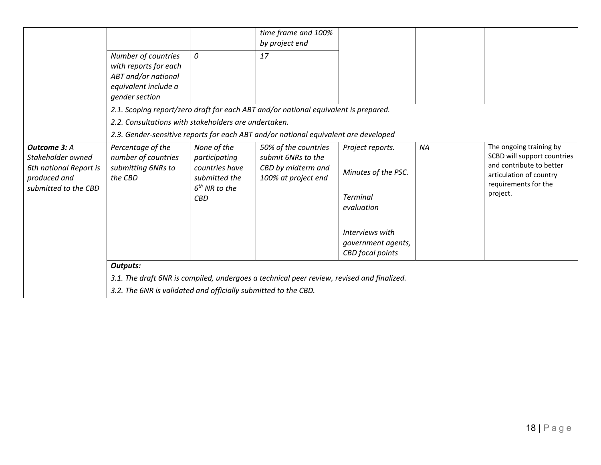|                                                                                                            | Number of countries                                                                    | 0                                                                                                | time frame and 100%<br>by project end<br>17                                               |                                                                                                                                              |    |                                                                                                                                                   |
|------------------------------------------------------------------------------------------------------------|----------------------------------------------------------------------------------------|--------------------------------------------------------------------------------------------------|-------------------------------------------------------------------------------------------|----------------------------------------------------------------------------------------------------------------------------------------------|----|---------------------------------------------------------------------------------------------------------------------------------------------------|
|                                                                                                            | with reports for each<br>ABT and/or national<br>equivalent include a<br>gender section |                                                                                                  |                                                                                           |                                                                                                                                              |    |                                                                                                                                                   |
|                                                                                                            | 2.2. Consultations with stakeholders are undertaken.                                   |                                                                                                  | 2.1. Scoping report/zero draft for each ABT and/or national equivalent is prepared.       |                                                                                                                                              |    |                                                                                                                                                   |
|                                                                                                            |                                                                                        |                                                                                                  | 2.3. Gender-sensitive reports for each ABT and/or national equivalent are developed       |                                                                                                                                              |    |                                                                                                                                                   |
| <b>Outcome 3: A</b><br>Stakeholder owned<br>6th national Report is<br>produced and<br>submitted to the CBD | Percentage of the<br>number of countries<br>submitting 6NRs to<br>the CBD              | None of the<br>participating<br>countries have<br>submitted the<br>$6th$ NR to the<br><b>CBD</b> | 50% of the countries<br>submit 6NRs to the<br>CBD by midterm and<br>100% at project end   | Project reports.<br>Minutes of the PSC.<br><b>Terminal</b><br>evaluation<br>Interviews with<br>government agents,<br><b>CBD</b> focal points | NA | The ongoing training by<br>SCBD will support countries<br>and contribute to better<br>articulation of country<br>requirements for the<br>project. |
|                                                                                                            | <b>Outputs:</b>                                                                        |                                                                                                  |                                                                                           |                                                                                                                                              |    |                                                                                                                                                   |
|                                                                                                            |                                                                                        |                                                                                                  | 3.1. The draft 6NR is compiled, undergoes a technical peer review, revised and finalized. |                                                                                                                                              |    |                                                                                                                                                   |
|                                                                                                            | 3.2. The 6NR is validated and officially submitted to the CBD.                         |                                                                                                  |                                                                                           |                                                                                                                                              |    |                                                                                                                                                   |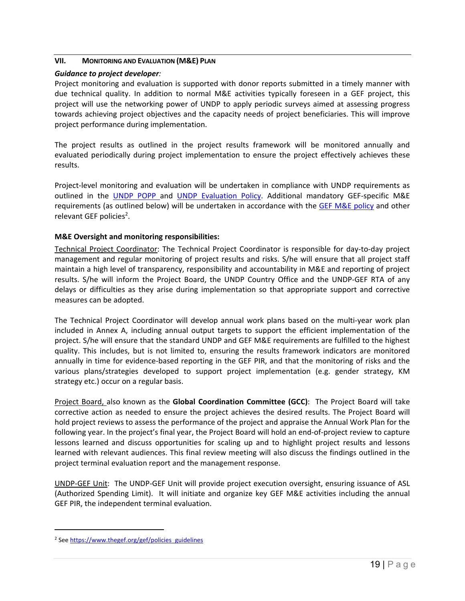### **VII. MONITORING AND EVALUATION (M&E) PLAN**

### *Guidance to project developer:*

Project monitoring and evaluation is supported with donor reports submitted in a timely manner with due technical quality. In addition to normal M&E activities typically foreseen in a GEF project, this project will use the networking power of UNDP to apply periodic surveys aimed at assessing progress towards achieving project objectives and the capacity needs of project beneficiaries. This will improve project performance during implementation.

The project results as outlined in the project results framework will be monitored annually and evaluated periodically during project implementation to ensure the project effectively achieves these results.

Project-level monitoring and evaluation will be undertaken in compliance with UNDP requirements as outlined in the UNDP POPP and UNDP Evaluation Policy. Additional mandatory GEF-specific M&E requirements (as outlined below) will be undertaken in accordance with the GEF M&E policy and other relevant GEF policies<sup>2</sup>.

### **M&E Oversight and monitoring responsibilities:**

Technical Project Coordinator: The Technical Project Coordinator is responsible for day‐to‐day project management and regular monitoring of project results and risks. S/he will ensure that all project staff maintain a high level of transparency, responsibility and accountability in M&E and reporting of project results. S/he will inform the Project Board, the UNDP Country Office and the UNDP‐GEF RTA of any delays or difficulties as they arise during implementation so that appropriate support and corrective measures can be adopted.

The Technical Project Coordinator will develop annual work plans based on the multi-year work plan included in Annex A, including annual output targets to support the efficient implementation of the project. S/he will ensure that the standard UNDP and GEF M&E requirements are fulfilled to the highest quality. This includes, but is not limited to, ensuring the results framework indicators are monitored annually in time for evidence‐based reporting in the GEF PIR, and that the monitoring of risks and the various plans/strategies developed to support project implementation (e.g. gender strategy, KM strategy etc.) occur on a regular basis.

Project Board, also known as the **Global Coordination Committee (GCC)**: The Project Board will take corrective action as needed to ensure the project achieves the desired results. The Project Board will hold project reviews to assess the performance of the project and appraise the Annual Work Plan for the following year. In the project's final year, the Project Board will hold an end‐of‐project review to capture lessons learned and discuss opportunities for scaling up and to highlight project results and lessons learned with relevant audiences. This final review meeting will also discuss the findings outlined in the project terminal evaluation report and the management response.

UNDP‐GEF Unit: The UNDP‐GEF Unit will provide project execution oversight, ensuring issuance of ASL (Authorized Spending Limit). It will initiate and organize key GEF M&E activities including the annual GEF PIR, the independent terminal evaluation.

<sup>&</sup>lt;sup>2</sup> See https://www.thegef.org/gef/policies\_guidelines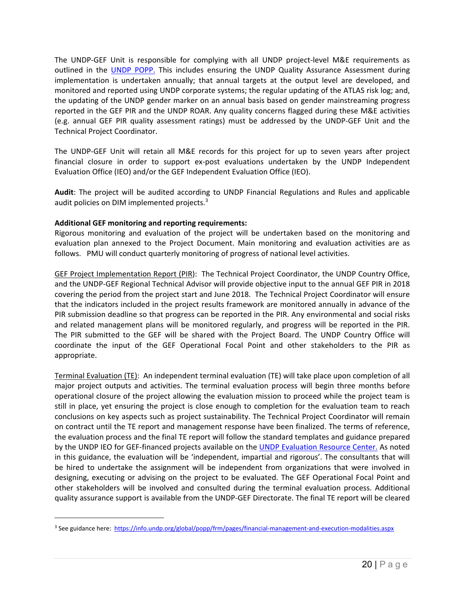The UNDP-GEF Unit is responsible for complying with all UNDP project-level M&E requirements as outlined in the UNDP POPP. This includes ensuring the UNDP Quality Assurance Assessment during implementation is undertaken annually; that annual targets at the output level are developed, and monitored and reported using UNDP corporate systems; the regular updating of the ATLAS risk log; and, the updating of the UNDP gender marker on an annual basis based on gender mainstreaming progress reported in the GEF PIR and the UNDP ROAR. Any quality concerns flagged during these M&E activities (e.g. annual GEF PIR quality assessment ratings) must be addressed by the UNDP‐GEF Unit and the Technical Project Coordinator.

The UNDP-GEF Unit will retain all M&E records for this project for up to seven years after project financial closure in order to support ex-post evaluations undertaken by the UNDP Independent Evaluation Office (IEO) and/or the GEF Independent Evaluation Office (IEO).

Audit: The project will be audited according to UNDP Financial Regulations and Rules and applicable audit policies on DIM implemented projects.<sup>3</sup>

### **Additional GEF monitoring and reporting requirements:**

Rigorous monitoring and evaluation of the project will be undertaken based on the monitoring and evaluation plan annexed to the Project Document. Main monitoring and evaluation activities are as follows. PMU will conduct quarterly monitoring of progress of national level activities.

GEF Project Implementation Report (PIR): The Technical Project Coordinator, the UNDP Country Office, and the UNDP‐GEF Regional Technical Advisor will provide objective input to the annual GEF PIR in 2018 covering the period from the project start and June 2018. The Technical Project Coordinator will ensure that the indicators included in the project results framework are monitored annually in advance of the PIR submission deadline so that progress can be reported in the PIR. Any environmental and social risks and related management plans will be monitored regularly, and progress will be reported in the PIR. The PIR submitted to the GEF will be shared with the Project Board. The UNDP Country Office will coordinate the input of the GEF Operational Focal Point and other stakeholders to the PIR as appropriate.

Terminal Evaluation (TE): An independent terminal evaluation (TE) will take place upon completion of all major project outputs and activities. The terminal evaluation process will begin three months before operational closure of the project allowing the evaluation mission to proceed while the project team is still in place, yet ensuring the project is close enough to completion for the evaluation team to reach conclusions on key aspects such as project sustainability. The Technical Project Coordinator will remain on contract until the TE report and management response have been finalized. The terms of reference, the evaluation process and the final TE report will follow the standard templates and guidance prepared by the UNDP IEO for GEF‐financed projects available on the UNDP Evaluation Resource Center. As noted in this guidance, the evaluation will be 'independent, impartial and rigorous'. The consultants that will be hired to undertake the assignment will be independent from organizations that were involved in designing, executing or advising on the project to be evaluated. The GEF Operational Focal Point and other stakeholders will be involved and consulted during the terminal evaluation process. Additional quality assurance support is available from the UNDP‐GEF Directorate. The final TE report will be cleared

<sup>3</sup> See guidance here: https://info.undp.org/global/popp/frm/pages/financial-management-and-execution-modalities.aspx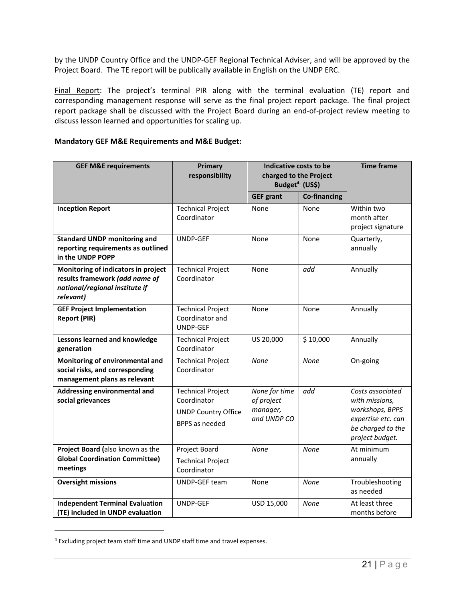by the UNDP Country Office and the UNDP‐GEF Regional Technical Adviser, and will be approved by the Project Board. The TE report will be publically available in English on the UNDP ERC.

Final Report: The project's terminal PIR along with the terminal evaluation (TE) report and corresponding management response will serve as the final project report package. The final project report package shall be discussed with the Project Board during an end‐of‐project review meeting to discuss lesson learned and opportunities for scaling up.

### **Mandatory GEF M&E Requirements and M&E Budget:**

| <b>GEF M&amp;E requirements</b>                                                                                      | Primary<br>responsibility                                                                      | Indicative costs to be<br>charged to the Project<br>Budget <sup>4</sup> (US\$) |                     | <b>Time frame</b>                                                                                                   |
|----------------------------------------------------------------------------------------------------------------------|------------------------------------------------------------------------------------------------|--------------------------------------------------------------------------------|---------------------|---------------------------------------------------------------------------------------------------------------------|
|                                                                                                                      |                                                                                                | <b>GEF grant</b>                                                               | <b>Co-financing</b> |                                                                                                                     |
| <b>Inception Report</b>                                                                                              | <b>Technical Project</b><br>Coordinator                                                        | None                                                                           | None                | Within two<br>month after<br>project signature                                                                      |
| <b>Standard UNDP monitoring and</b><br>reporting requirements as outlined<br>in the UNDP POPP                        | UNDP-GEF                                                                                       | None                                                                           | None                | Quarterly,<br>annually                                                                                              |
| Monitoring of indicators in project<br>results framework (add name of<br>national/regional institute if<br>relevant) | <b>Technical Project</b><br>Coordinator                                                        | None                                                                           | add                 | Annually                                                                                                            |
| <b>GEF Project Implementation</b><br><b>Report (PIR)</b>                                                             | <b>Technical Project</b><br>Coordinator and<br>UNDP-GEF                                        | None                                                                           | None                | Annually                                                                                                            |
| Lessons learned and knowledge<br>generation                                                                          | <b>Technical Project</b><br>Coordinator                                                        | US 20,000                                                                      | \$10,000            | Annually                                                                                                            |
| Monitoring of environmental and<br>social risks, and corresponding<br>management plans as relevant                   | <b>Technical Project</b><br>Coordinator                                                        | None                                                                           | None                | On-going                                                                                                            |
| Addressing environmental and<br>social grievances                                                                    | <b>Technical Project</b><br>Coordinator<br><b>UNDP Country Office</b><br><b>BPPS</b> as needed | None for time<br>of project<br>manager,<br>and UNDP CO                         | add                 | Costs associated<br>with missions,<br>workshops, BPPS<br>expertise etc. can<br>be charged to the<br>project budget. |
| Project Board (also known as the<br><b>Global Coordination Committee)</b><br>meetings                                | Project Board<br><b>Technical Project</b><br>Coordinator                                       | None                                                                           | <b>None</b>         | At minimum<br>annually                                                                                              |
| <b>Oversight missions</b>                                                                                            | <b>UNDP-GEF team</b>                                                                           | None                                                                           | None                | Troubleshooting<br>as needed                                                                                        |
| <b>Independent Terminal Evaluation</b><br>(TE) included in UNDP evaluation                                           | UNDP-GEF                                                                                       | USD 15,000                                                                     | None                | At least three<br>months before                                                                                     |

<sup>4</sup> Excluding project team staff time and UNDP staff time and travel expenses.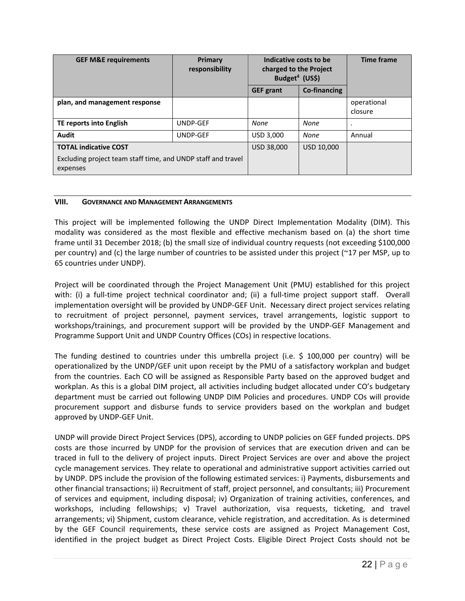| <b>GEF M&amp;E requirements</b>                                                                          | Primary<br>responsibility | Indicative costs to be<br>charged to the Project<br>Budget <sup>4</sup> (US\$) |                     | <b>Time frame</b>      |
|----------------------------------------------------------------------------------------------------------|---------------------------|--------------------------------------------------------------------------------|---------------------|------------------------|
|                                                                                                          |                           | <b>GEF</b> grant                                                               | <b>Co-financing</b> |                        |
| plan, and management response                                                                            |                           |                                                                                |                     | operational<br>closure |
| TE reports into English                                                                                  | UNDP-GEF                  | None                                                                           | None                | $\cdot$                |
| Audit                                                                                                    | UNDP-GEF                  | USD 3,000                                                                      | None                | Annual                 |
| <b>TOTAL indicative COST</b><br>Excluding project team staff time, and UNDP staff and travel<br>expenses | USD 38,000                | USD 10.000                                                                     |                     |                        |

### **VIII. GOVERNANCE AND MANAGEMENT ARRANGEMENTS**

This proiect will be implemented following the UNDP Direct Implementation Modality (DIM). This modality was considered as the most flexible and effective mechanism based on (a) the short time frame until 31 December 2018; (b) the small size of individual country requests (not exceeding \$100,000 per country) and (c) the large number of countries to be assisted under this project (~17 per MSP, up to 65 countries under UNDP).

Project will be coordinated through the Project Management Unit (PMU) established for this project with: (i) a full-time project technical coordinator and; (ii) a full-time project support staff. Overall implementation oversight will be provided by UNDP‐GEF Unit. Necessary direct project services relating to recruitment of project personnel, payment services, travel arrangements, logistic support to workshops/trainings, and procurement support will be provided by the UNDP‐GEF Management and Programme Support Unit and UNDP Country Offices (COs) in respective locations.

The funding destined to countries under this umbrella project (i.e. \$ 100,000 per country) will be operationalized by the UNDP/GEF unit upon receipt by the PMU of a satisfactory workplan and budget from the countries. Each CO will be assigned as Responsible Party based on the approved budget and workplan. As this is a global DIM project, all activities including budget allocated under CO's budgetary department must be carried out following UNDP DIM Policies and procedures. UNDP COs will provide procurement support and disburse funds to service providers based on the workplan and budget approved by UNDP‐GEF Unit.

UNDP will provide Direct Project Services (DPS), according to UNDP policies on GEF funded projects. DPS costs are those incurred by UNDP for the provision of services that are execution driven and can be traced in full to the delivery of project inputs. Direct Project Services are over and above the project cycle management services. They relate to operational and administrative support activities carried out by UNDP. DPS include the provision of the following estimated services: i) Payments, disbursements and other financial transactions; ii) Recruitment of staff, project personnel, and consultants; iii) Procurement of services and equipment, including disposal; iv) Organization of training activities, conferences, and workshops, including fellowships; v) Travel authorization, visa requests, ticketing, and travel arrangements; vi) Shipment, custom clearance, vehicle registration, and accreditation. As is determined by the GEF Council requirements, these service costs are assigned as Project Management Cost, identified in the project budget as Direct Project Costs. Eligible Direct Project Costs should not be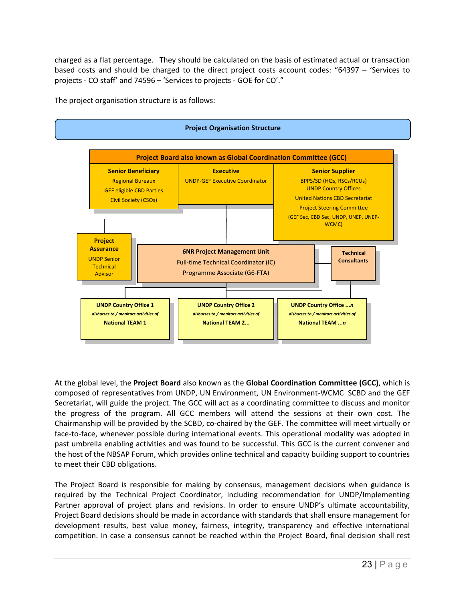charged as a flat percentage. They should be calculated on the basis of estimated actual or transaction based costs and should be charged to the direct project costs account codes: "64397 – 'Services to projects ‐ CO staff' and 74596 – 'Services to projects ‐ GOE for CO'."

The project organisation structure is as follows:



At the global level, the **Project Board** also known as the **Global Coordination Committee (GCC)**, which is composed of representatives from UNDP, UN Environment, UN Environment‐WCMC SCBD and the GEF Secretariat, will guide the project. The GCC will act as a coordinating committee to discuss and monitor the progress of the program. All GCC members will attend the sessions at their own cost. The Chairmanship will be provided by the SCBD, co‐chaired by the GEF. The committee will meet virtually or face-to-face, whenever possible during international events. This operational modality was adopted in past umbrella enabling activities and was found to be successful. This GCC is the current convener and the host of the NBSAP Forum, which provides online technical and capacity building support to countries to meet their CBD obligations.

The Project Board is responsible for making by consensus, management decisions when guidance is required by the Technical Project Coordinator, including recommendation for UNDP/Implementing Partner approval of project plans and revisions. In order to ensure UNDP's ultimate accountability, Project Board decisions should be made in accordance with standards that shall ensure management for development results, best value money, fairness, integrity, transparency and effective international competition. In case a consensus cannot be reached within the Project Board, final decision shall rest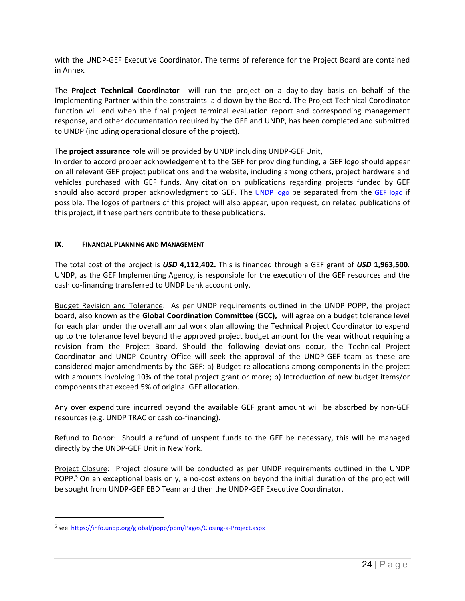with the UNDP‐GEF Executive Coordinator. The terms of reference for the Project Board are contained in Annex*.* 

The **Project Technical Coordinator**  will run the project on a day‐to‐day basis on behalf of the Implementing Partner within the constraints laid down by the Board. The Project Technical Corodinator function will end when the final project terminal evaluation report and corresponding management response, and other documentation required by the GEF and UNDP, has been completed and submitted to UNDP (including operational closure of the project).

The **project assurance** role will be provided by UNDP including UNDP‐GEF Unit,

In order to accord proper acknowledgement to the GEF for providing funding, a GEF logo should appear on all relevant GEF project publications and the website, including among others, project hardware and vehicles purchased with GEF funds. Any citation on publications regarding projects funded by GEF should also accord proper acknowledgment to GEF. The UNDP logo be separated from the GEF logo if possible. The logos of partners of this project will also appear, upon request, on related publications of this project, if these partners contribute to these publications.

### **IX. FINANCIAL PLANNING AND MANAGEMENT**

The total cost of the project is *USD* **4,112,402.** This is financed through a GEF grant of *USD* **1,963,500**. UNDP, as the GEF Implementing Agency, is responsible for the execution of the GEF resources and the cash co-financing transferred to UNDP bank account only.

Budget Revision and Tolerance: As per UNDP requirements outlined in the UNDP POPP, the project board, also known as the **Global Coordination Committee (GCC),** will agree on a budget tolerance level for each plan under the overall annual work plan allowing the Technical Project Coordinator to expend up to the tolerance level beyond the approved project budget amount for the year without requiring a revision from the Project Board. Should the following deviations occur, the Technical Project Coordinator and UNDP Country Office will seek the approval of the UNDP‐GEF team as these are considered major amendments by the GEF: a) Budget re‐allocations among components in the project with amounts involving 10% of the total project grant or more; b) Introduction of new budget items/or components that exceed 5% of original GEF allocation.

Any over expenditure incurred beyond the available GEF grant amount will be absorbed by non-GEF resources (e.g. UNDP TRAC or cash co-financing).

Refund to Donor: Should a refund of unspent funds to the GEF be necessary, this will be managed directly by the UNDP‐GEF Unit in New York.

Project Closure: Project closure will be conducted as per UNDP requirements outlined in the UNDP POPP.<sup>5</sup> On an exceptional basis only, a no-cost extension beyond the initial duration of the project will be sought from UNDP‐GEF EBD Team and then the UNDP‐GEF Executive Coordinator.

<sup>5</sup> see https://info.undp.org/global/popp/ppm/Pages/Closing-a-Project.aspx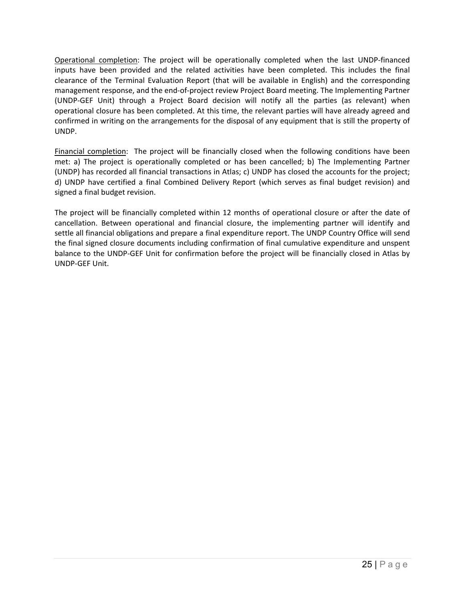Operational completion: The project will be operationally completed when the last UNDP‐financed inputs have been provided and the related activities have been completed. This includes the final clearance of the Terminal Evaluation Report (that will be available in English) and the corresponding management response, and the end‐of‐project review Project Board meeting. The Implementing Partner (UNDP‐GEF Unit) through a Project Board decision will notify all the parties (as relevant) when operational closure has been completed. At this time, the relevant parties will have already agreed and confirmed in writing on the arrangements for the disposal of any equipment that is still the property of UNDP.

Financial completion: The project will be financially closed when the following conditions have been met: a) The project is operationally completed or has been cancelled; b) The Implementing Partner (UNDP) has recorded all financial transactions in Atlas; c) UNDP has closed the accounts for the project; d) UNDP have certified a final Combined Delivery Report (which serves as final budget revision) and signed a final budget revision.

The project will be financially completed within 12 months of operational closure or after the date of cancellation. Between operational and financial closure, the implementing partner will identify and settle all financial obligations and prepare a final expenditure report. The UNDP Country Office will send the final signed closure documents including confirmation of final cumulative expenditure and unspent balance to the UNDP‐GEF Unit for confirmation before the project will be financially closed in Atlas by UNDP‐GEF Unit.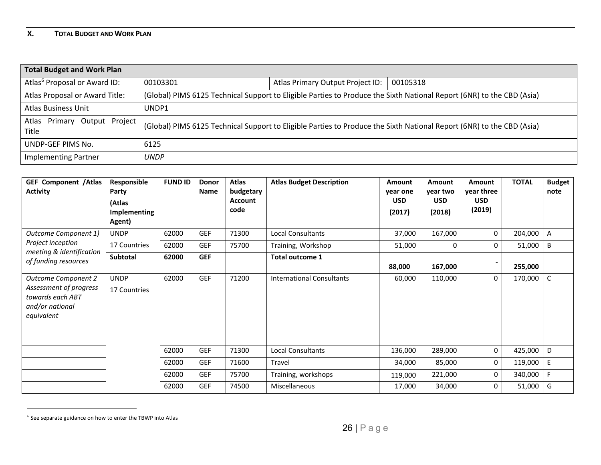#### **X. TOTAL BUDGET AND WORK PLAN**

| <b>Total Budget and Work Plan</b>        |                                                                                                                       |                                  |          |  |  |
|------------------------------------------|-----------------------------------------------------------------------------------------------------------------------|----------------------------------|----------|--|--|
| Atlas <sup>6</sup> Proposal or Award ID: | 00103301                                                                                                              | Atlas Primary Output Project ID: | 00105318 |  |  |
| Atlas Proposal or Award Title:           | (Global) PIMS 6125 Technical Support to Eligible Parties to Produce the Sixth National Report (6NR) to the CBD (Asia) |                                  |          |  |  |
| Atlas Business Unit                      | UNDP1                                                                                                                 |                                  |          |  |  |
| Atlas Primary Output Project<br>Title    | (Global) PIMS 6125 Technical Support to Eligible Parties to Produce the Sixth National Report (6NR) to the CBD (Asia) |                                  |          |  |  |
| UNDP-GEF PIMS No.                        | 6125                                                                                                                  |                                  |          |  |  |
| Implementing Partner                     | <b>UNDP</b>                                                                                                           |                                  |          |  |  |

| <b>GEF Component /Atlas</b>                                                 | Responsible  | <b>FUND ID</b> | Donor      | Atlas          | <b>Atlas Budget Description</b>  | Amount     | Amount     | Amount         | <b>TOTAL</b> | <b>Budget</b> |
|-----------------------------------------------------------------------------|--------------|----------------|------------|----------------|----------------------------------|------------|------------|----------------|--------------|---------------|
| <b>Activity</b>                                                             | Party        |                | Name       | budgetary      |                                  | year one   | year two   | year three     |              | note          |
|                                                                             | (Atlas       |                |            | <b>Account</b> |                                  | <b>USD</b> | <b>USD</b> | <b>USD</b>     |              |               |
|                                                                             | Implementing |                |            | code           |                                  | (2017)     | (2018)     | (2019)         |              |               |
|                                                                             | Agent)       |                |            |                |                                  |            |            |                |              |               |
| Outcome Component 1)                                                        | <b>UNDP</b>  | 62000          | <b>GEF</b> | 71300          | Local Consultants                | 37,000     | 167,000    | 0              | 204,000      | A             |
| Project inception                                                           | 17 Countries | 62000          | <b>GEF</b> | 75700          | Training, Workshop               | 51,000     | 0          | 0              | 51,000       | В             |
| meeting & identification<br>of funding resources                            | Subtotal     | 62000          | <b>GEF</b> |                | <b>Total outcome 1</b>           |            |            | $\blacksquare$ |              |               |
|                                                                             |              |                |            |                |                                  | 88,000     | 167,000    |                | 255,000      |               |
| <b>Outcome Component 2</b>                                                  | <b>UNDP</b>  | 62000          | <b>GEF</b> | 71200          | <b>International Consultants</b> | 60,000     | 110,000    | $\mathbf 0$    | 170,000      | $\mathsf C$   |
| Assessment of progress<br>towards each ABT<br>and/or national<br>equivalent | 17 Countries |                |            |                |                                  |            |            |                |              |               |
|                                                                             |              |                |            |                |                                  |            |            |                |              |               |
|                                                                             |              | 62000          | GEF        | 71300          | Local Consultants                | 136,000    | 289,000    | 0              | 425,000      | D             |
|                                                                             |              | 62000          | <b>GEF</b> | 71600          | Travel                           | 34,000     | 85,000     | 0              | 119,000      | E             |
|                                                                             |              | 62000          | <b>GEF</b> | 75700          | Training, workshops              | 119,000    | 221,000    | 0              | 340,000      | F             |
|                                                                             |              | 62000          | GEF        | 74500          | Miscellaneous                    | 17,000     | 34,000     | 0              | 51,000       | G             |

### $6$  See separate guidance on how to enter the TBWP into Atlas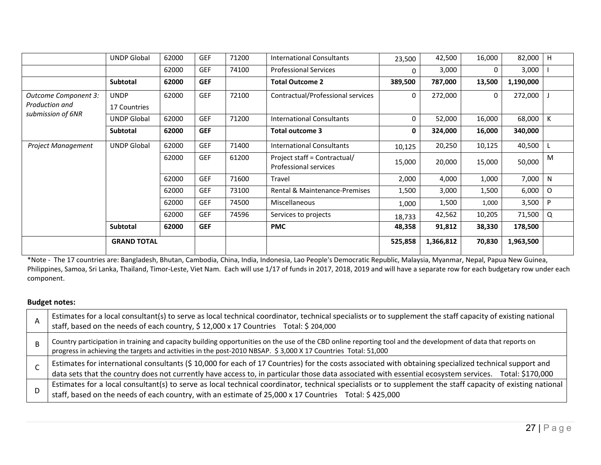|                           | <b>UNDP Global</b> | 62000 | <b>GEF</b> | 71200 | <b>International Consultants</b>                      | 23,500  | 42,500    | 16,000 | 82,000    | H            |
|---------------------------|--------------------|-------|------------|-------|-------------------------------------------------------|---------|-----------|--------|-----------|--------------|
|                           |                    | 62000 | <b>GEF</b> | 74100 | <b>Professional Services</b>                          | 0       | 3,000     | 0      | 3,000     |              |
|                           | Subtotal           | 62000 | <b>GEF</b> |       | <b>Total Outcome 2</b>                                | 389,500 | 787,000   | 13,500 | 1,190,000 |              |
| Outcome Component 3:      | <b>UNDP</b>        | 62000 | <b>GEF</b> | 72100 | Contractual/Professional services                     | 0       | 272,000   | 0      | 272,000   |              |
| Production and            | 17 Countries       |       |            |       |                                                       |         |           |        |           |              |
| submission of 6NR         | UNDP Global        | 62000 | <b>GEF</b> | 71200 | <b>International Consultants</b>                      | 0       | 52,000    | 16,000 | 68,000    | K            |
|                           | <b>Subtotal</b>    | 62000 | <b>GEF</b> |       | Total outcome 3                                       | 0       | 324,000   | 16,000 | 340,000   |              |
| <b>Project Management</b> | <b>UNDP Global</b> | 62000 | <b>GEF</b> | 71400 | <b>International Consultants</b>                      | 10,125  | 20,250    | 10,125 | 40,500    |              |
|                           |                    | 62000 | <b>GEF</b> | 61200 | Project staff = Contractual/<br>Professional services | 15,000  | 20,000    | 15,000 | 50,000    | M            |
|                           |                    | 62000 | <b>GEF</b> | 71600 | Travel                                                | 2,000   | 4,000     | 1,000  | 7,000     | $\mathsf{N}$ |
|                           |                    | 62000 | <b>GEF</b> | 73100 | Rental & Maintenance-Premises                         | 1,500   | 3,000     | 1,500  | 6,000     | $\Omega$     |
|                           |                    | 62000 | <b>GEF</b> | 74500 | <b>Miscellaneous</b>                                  | 1,000   | 1,500     | 1,000  | 3,500     | P            |
|                           |                    | 62000 | <b>GEF</b> | 74596 | Services to projects                                  | 18,733  | 42,562    | 10,205 | 71,500    | Q            |
|                           | Subtotal           | 62000 | <b>GEF</b> |       | <b>PMC</b>                                            | 48,358  | 91,812    | 38,330 | 178,500   |              |
|                           | <b>GRAND TOTAL</b> |       |            |       |                                                       | 525,858 | 1,366,812 | 70,830 | 1,963,500 |              |

\*Note ‐ The 17 countries are: Bangladesh, Bhutan, Cambodia, China, India, Indonesia, Lao People's Democratic Republic, Malaysia, Myanmar, Nepal, Papua New Guinea, Philippines, Samoa, Sri Lanka, Thailand, Timor-Leste, Viet Nam. Each will use 1/17 of funds in 2017, 2018, 2019 and will have a separate row for each budgetary row under each component.

### **Budget notes:**

| Estimates for a local consultant(s) to serve as local technical coordinator, technical specialists or to supplement the staff capacity of existing national<br>staff, based on the needs of each country, \$12,000 x 17 Countries Total: \$204,000                                                              |
|-----------------------------------------------------------------------------------------------------------------------------------------------------------------------------------------------------------------------------------------------------------------------------------------------------------------|
| Country participation in training and capacity building opportunities on the use of the CBD online reporting tool and the development of data that reports on<br>progress in achieving the targets and activities in the post-2010 NBSAP. \$3,000 X 17 Countries Total: 51,000                                  |
| Estimates for international consultants (\$ 10,000 for each of 17 Countries) for the costs associated with obtaining specialized technical support and<br>data sets that the country does not currently have access to, in particular those data associated with essential ecosystem services. Total: \$170,000 |
| Estimates for a local consultant(s) to serve as local technical coordinator, technical specialists or to supplement the staff capacity of existing national<br>staff, based on the needs of each country, with an estimate of 25,000 x 17 Countries Total: \$425,000                                            |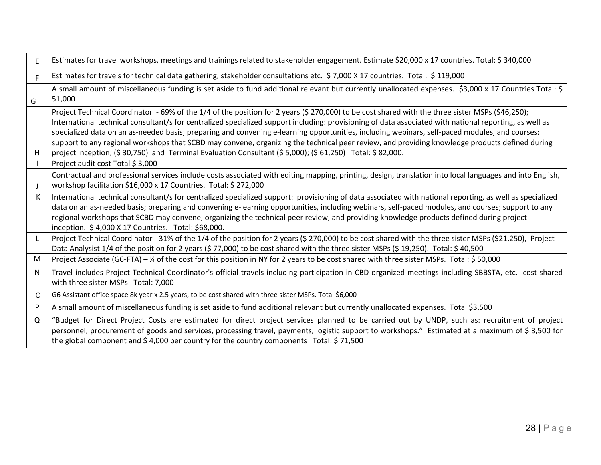| E        | Estimates for travel workshops, meetings and trainings related to stakeholder engagement. Estimate \$20,000 x 17 countries. Total: \$ 340,000                                                                                                                                                                                                                                                                                                                                                                                                                                                                                                                                                                              |
|----------|----------------------------------------------------------------------------------------------------------------------------------------------------------------------------------------------------------------------------------------------------------------------------------------------------------------------------------------------------------------------------------------------------------------------------------------------------------------------------------------------------------------------------------------------------------------------------------------------------------------------------------------------------------------------------------------------------------------------------|
| E        | Estimates for travels for technical data gathering, stakeholder consultations etc. \$7,000 X 17 countries. Total: \$119,000                                                                                                                                                                                                                                                                                                                                                                                                                                                                                                                                                                                                |
| G        | A small amount of miscellaneous funding is set aside to fund additional relevant but currently unallocated expenses. \$3,000 x 17 Countries Total: \$<br>51,000                                                                                                                                                                                                                                                                                                                                                                                                                                                                                                                                                            |
| н        | Project Technical Coordinator - 69% of the 1/4 of the position for 2 years (\$ 270,000) to be cost shared with the three sister MSPs (\$46,250);<br>International technical consultant/s for centralized specialized support including: provisioning of data associated with national reporting, as well as<br>specialized data on an as-needed basis; preparing and convening e-learning opportunities, including webinars, self-paced modules, and courses;<br>support to any regional workshops that SCBD may convene, organizing the technical peer review, and providing knowledge products defined during<br>project inception; (\$30,750) and Terminal Evaluation Consultant (\$5,000); (\$61,250) Total: \$82,000. |
|          | Project audit cost Total \$ 3,000<br>Contractual and professional services include costs associated with editing mapping, printing, design, translation into local languages and into English,                                                                                                                                                                                                                                                                                                                                                                                                                                                                                                                             |
| J        | workshop facilitation \$16,000 x 17 Countries. Total: \$ 272,000                                                                                                                                                                                                                                                                                                                                                                                                                                                                                                                                                                                                                                                           |
| К        | International technical consultant/s for centralized specialized support: provisioning of data associated with national reporting, as well as specialized<br>data on an as-needed basis; preparing and convening e-learning opportunities, including webinars, self-paced modules, and courses; support to any<br>regional workshops that SCBD may convene, organizing the technical peer review, and providing knowledge products defined during project<br>inception. \$4,000 X 17 Countries. Total: \$68,000.                                                                                                                                                                                                           |
| L        | Project Technical Coordinator - 31% of the 1/4 of the position for 2 years (\$ 270,000) to be cost shared with the three sister MSPs (\$21,250), Project<br>Data Analysist 1/4 of the position for 2 years (\$77,000) to be cost shared with the three sister MSPs (\$19,250). Total: \$40,500                                                                                                                                                                                                                                                                                                                                                                                                                             |
| M        | Project Associate (G6-FTA) - 1/4 of the cost for this position in NY for 2 years to be cost shared with three sister MSPs. Total: \$50,000                                                                                                                                                                                                                                                                                                                                                                                                                                                                                                                                                                                 |
| N        | Travel includes Project Technical Coordinator's official travels including participation in CBD organized meetings including SBBSTA, etc. cost shared<br>with three sister MSPs Total: 7,000                                                                                                                                                                                                                                                                                                                                                                                                                                                                                                                               |
| $\Omega$ | G6 Assistant office space 8k year x 2.5 years, to be cost shared with three sister MSPs. Total \$6,000                                                                                                                                                                                                                                                                                                                                                                                                                                                                                                                                                                                                                     |
| P        | A small amount of miscellaneous funding is set aside to fund additional relevant but currently unallocated expenses. Total \$3,500                                                                                                                                                                                                                                                                                                                                                                                                                                                                                                                                                                                         |
| $\Omega$ | "Budget for Direct Project Costs are estimated for direct project services planned to be carried out by UNDP, such as: recruitment of project<br>personnel, procurement of goods and services, processing travel, payments, logistic support to workshops." Estimated at a maximum of \$3,500 for<br>the global component and \$4,000 per country for the country components Total: \$71,500                                                                                                                                                                                                                                                                                                                               |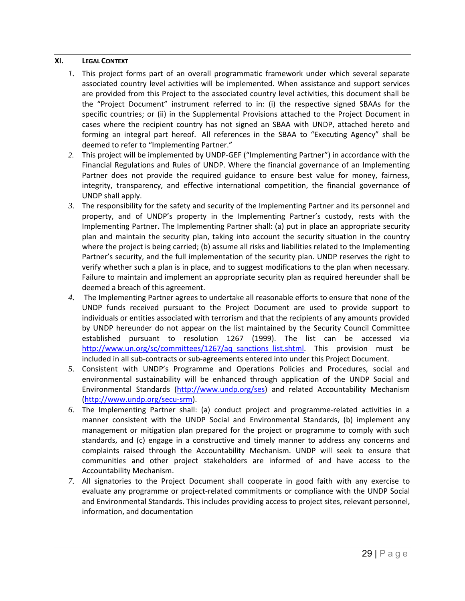### **XI. LEGAL CONTEXT**

- *1.* This project forms part of an overall programmatic framework under which several separate associated country level activities will be implemented. When assistance and support services are provided from this Project to the associated country level activities, this document shall be the "Project Document" instrument referred to in: (i) the respective signed SBAAs for the specific countries; or (ii) in the Supplemental Provisions attached to the Project Document in cases where the recipient country has not signed an SBAA with UNDP, attached hereto and forming an integral part hereof. All references in the SBAA to "Executing Agency" shall be deemed to refer to "Implementing Partner."
- *2.* This project will be implemented by UNDP‐GEF ("Implementing Partner") in accordance with the Financial Regulations and Rules of UNDP. Where the financial governance of an Implementing Partner does not provide the required guidance to ensure best value for money, fairness, integrity, transparency, and effective international competition, the financial governance of UNDP shall apply.
- *3.* The responsibility for the safety and security of the Implementing Partner and its personnel and property, and of UNDP's property in the Implementing Partner's custody, rests with the Implementing Partner. The Implementing Partner shall: (a) put in place an appropriate security plan and maintain the security plan, taking into account the security situation in the country where the project is being carried; (b) assume all risks and liabilities related to the Implementing Partner's security, and the full implementation of the security plan. UNDP reserves the right to verify whether such a plan is in place, and to suggest modifications to the plan when necessary. Failure to maintain and implement an appropriate security plan as required hereunder shall be deemed a breach of this agreement.
- *4.* The Implementing Partner agrees to undertake all reasonable efforts to ensure that none of the UNDP funds received pursuant to the Project Document are used to provide support to individuals or entities associated with terrorism and that the recipients of any amounts provided by UNDP hereunder do not appear on the list maintained by the Security Council Committee established pursuant to resolution 1267 (1999). The list can be accessed http://www.un.org/sc/committees/1267/aq\_sanctions\_list.shtml. This provision must be included in all sub‐contracts or sub‐agreements entered into under this Project Document.
- *5.* Consistent with UNDP's Programme and Operations Policies and Procedures, social and environmental sustainability will be enhanced through application of the UNDP Social and Environmental Standards (http://www.undp.org/ses) and related Accountability Mechanism (http://www.undp.org/secu‐srm).
- *6.* The Implementing Partner shall: (a) conduct project and programme‐related activities in a manner consistent with the UNDP Social and Environmental Standards, (b) implement any management or mitigation plan prepared for the project or programme to comply with such standards, and (c) engage in a constructive and timely manner to address any concerns and complaints raised through the Accountability Mechanism. UNDP will seek to ensure that communities and other project stakeholders are informed of and have access to the Accountability Mechanism.
- *7.* All signatories to the Project Document shall cooperate in good faith with any exercise to evaluate any programme or project-related commitments or compliance with the UNDP Social and Environmental Standards. This includes providing access to project sites, relevant personnel, information, and documentation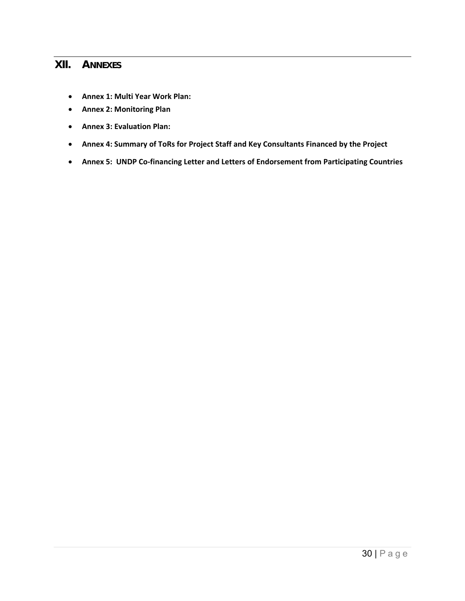# **XII. ANNEXES**

- **Annex 1: Multi Year Work Plan:**
- **Annex 2: Monitoring Plan**
- **•** Annex 3: Evaluation Plan:
- **Annex 4: Summary of ToRs for Project Staff and Key Consultants Financed by the Project**
- **Annex 5: UNDP Co‐financing Letter and Letters of Endorsement from Participating Countries**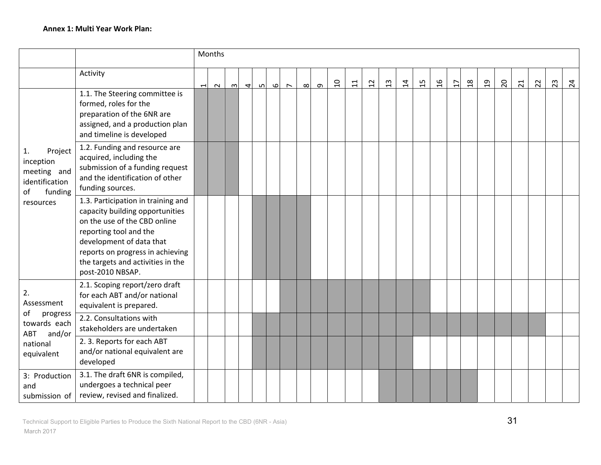|                                                                                           |                                                                                                                                                                                                                                                          | Months         |        |        |              |   |   |                          |          |          |                |    |                  |    |    |                 |               |                 |                |                |    |    |    |    |                 |
|-------------------------------------------------------------------------------------------|----------------------------------------------------------------------------------------------------------------------------------------------------------------------------------------------------------------------------------------------------------|----------------|--------|--------|--------------|---|---|--------------------------|----------|----------|----------------|----|------------------|----|----|-----------------|---------------|-----------------|----------------|----------------|----|----|----|----|-----------------|
|                                                                                           | Activity                                                                                                                                                                                                                                                 | $\overline{ }$ | $\sim$ | $\sim$ | $\mathbf{f}$ | ഗ | ഄ | $\overline{\phantom{0}}$ | $\infty$ | $\sigma$ | $\overline{a}$ | 11 | $2 \overline{2}$ | 13 | 14 | $\overline{15}$ | $\frac{9}{5}$ | $\overline{17}$ | $\frac{8}{18}$ | $\overline{5}$ | 20 | 21 | 22 | 23 | $\overline{24}$ |
|                                                                                           | 1.1. The Steering committee is<br>formed, roles for the<br>preparation of the 6NR are<br>assigned, and a production plan<br>and timeline is developed                                                                                                    |                |        |        |              |   |   |                          |          |          |                |    |                  |    |    |                 |               |                 |                |                |    |    |    |    |                 |
| Project<br>1.<br>inception<br>meeting and<br>identification<br>funding<br>of<br>resources | 1.2. Funding and resource are<br>acquired, including the<br>submission of a funding request<br>and the identification of other<br>funding sources.                                                                                                       |                |        |        |              |   |   |                          |          |          |                |    |                  |    |    |                 |               |                 |                |                |    |    |    |    |                 |
|                                                                                           | 1.3. Participation in training and<br>capacity building opportunities<br>on the use of the CBD online<br>reporting tool and the<br>development of data that<br>reports on progress in achieving<br>the targets and activities in the<br>post-2010 NBSAP. |                |        |        |              |   |   |                          |          |          |                |    |                  |    |    |                 |               |                 |                |                |    |    |    |    |                 |
| 2.<br>Assessment                                                                          | 2.1. Scoping report/zero draft<br>for each ABT and/or national<br>equivalent is prepared.                                                                                                                                                                |                |        |        |              |   |   |                          |          |          |                |    |                  |    |    |                 |               |                 |                |                |    |    |    |    |                 |
| οf<br>progress<br>towards each<br>and/or<br>ABT                                           | 2.2. Consultations with<br>stakeholders are undertaken                                                                                                                                                                                                   |                |        |        |              |   |   |                          |          |          |                |    |                  |    |    |                 |               |                 |                |                |    |    |    |    |                 |
| national<br>equivalent                                                                    | 2.3. Reports for each ABT<br>and/or national equivalent are<br>developed                                                                                                                                                                                 |                |        |        |              |   |   |                          |          |          |                |    |                  |    |    |                 |               |                 |                |                |    |    |    |    |                 |
| 3: Production<br>and<br>submission of                                                     | 3.1. The draft 6NR is compiled,<br>undergoes a technical peer<br>review, revised and finalized.                                                                                                                                                          |                |        |        |              |   |   |                          |          |          |                |    |                  |    |    |                 |               |                 |                |                |    |    |    |    |                 |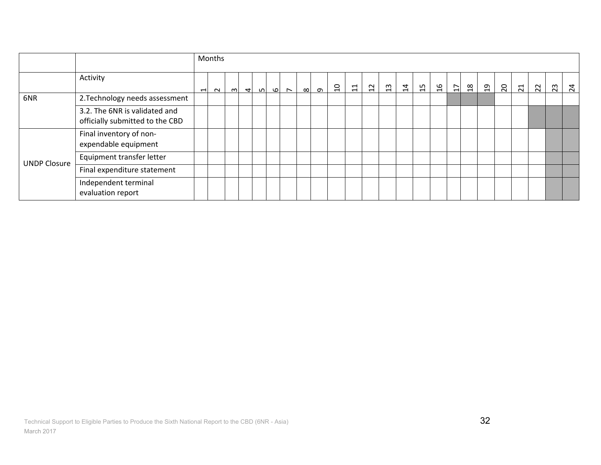|                     |                                                                  |                          | Months |    |                |   |      |        |   |   |          |                                  |                          |                |                |    |                  |                 |                |                |                |                 |    |    |                |
|---------------------|------------------------------------------------------------------|--------------------------|--------|----|----------------|---|------|--------|---|---|----------|----------------------------------|--------------------------|----------------|----------------|----|------------------|-----------------|----------------|----------------|----------------|-----------------|----|----|----------------|
|                     | Activity                                                         | $\overline{\phantom{0}}$ | $\sim$ | നി | $\overline{ }$ | ഥ | ا (C | $\sim$ | ∞ | ന | $\Omega$ | $\overline{ }$<br>$\blacksquare$ | $\sim$<br>$\blacksquare$ | $\mathfrak{L}$ | $\overline{1}$ | 15 | $\mathfrak{g}_1$ | $\overline{17}$ | $\frac{8}{18}$ | $\mathfrak{g}$ | $\overline{c}$ | $\overline{21}$ | 22 | 23 | $\overline{2}$ |
| 6NR                 | 2. Technology needs assessment                                   |                          |        |    |                |   |      |        |   |   |          |                                  |                          |                |                |    |                  |                 |                |                |                |                 |    |    |                |
|                     | 3.2. The 6NR is validated and<br>officially submitted to the CBD |                          |        |    |                |   |      |        |   |   |          |                                  |                          |                |                |    |                  |                 |                |                |                |                 |    |    |                |
|                     | Final inventory of non-<br>expendable equipment                  |                          |        |    |                |   |      |        |   |   |          |                                  |                          |                |                |    |                  |                 |                |                |                |                 |    |    |                |
|                     | Equipment transfer letter                                        |                          |        |    |                |   |      |        |   |   |          |                                  |                          |                |                |    |                  |                 |                |                |                |                 |    |    |                |
| <b>UNDP Closure</b> | Final expenditure statement                                      |                          |        |    |                |   |      |        |   |   |          |                                  |                          |                |                |    |                  |                 |                |                |                |                 |    |    |                |
|                     | Independent terminal<br>evaluation report                        |                          |        |    |                |   |      |        |   |   |          |                                  |                          |                |                |    |                  |                 |                |                |                |                 |    |    |                |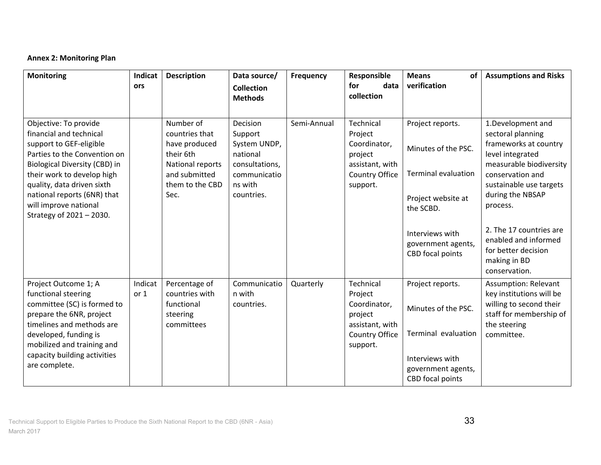# **Annex 2: Monitoring Plan**

| <b>Monitoring</b>                                                                                                                                                                                                                                                                            | Indicat<br>ors  | <b>Description</b>                                                                                                        | Data source/<br><b>Collection</b>                                                                          | <b>Frequency</b> | Responsible<br>for<br>data<br>collection                                                         | <b>Means</b><br>of<br>verification                                                                       | <b>Assumptions and Risks</b>                                                                                                                                                                  |
|----------------------------------------------------------------------------------------------------------------------------------------------------------------------------------------------------------------------------------------------------------------------------------------------|-----------------|---------------------------------------------------------------------------------------------------------------------------|------------------------------------------------------------------------------------------------------------|------------------|--------------------------------------------------------------------------------------------------|----------------------------------------------------------------------------------------------------------|-----------------------------------------------------------------------------------------------------------------------------------------------------------------------------------------------|
|                                                                                                                                                                                                                                                                                              |                 |                                                                                                                           | <b>Methods</b>                                                                                             |                  |                                                                                                  |                                                                                                          |                                                                                                                                                                                               |
| Objective: To provide<br>financial and technical<br>support to GEF-eligible<br>Parties to the Convention on<br>Biological Diversity (CBD) in<br>their work to develop high<br>quality, data driven sixth<br>national reports (6NR) that<br>will improve national<br>Strategy of 2021 - 2030. |                 | Number of<br>countries that<br>have produced<br>their 6th<br>National reports<br>and submitted<br>them to the CBD<br>Sec. | Decision<br>Support<br>System UNDP,<br>national<br>consultations,<br>communicatio<br>ns with<br>countries. | Semi-Annual      | Technical<br>Project<br>Coordinator,<br>project<br>assistant, with<br>Country Office<br>support. | Project reports.<br>Minutes of the PSC.<br><b>Terminal evaluation</b><br>Project website at<br>the SCBD. | 1.Development and<br>sectoral planning<br>frameworks at country<br>level integrated<br>measurable biodiversity<br>conservation and<br>sustainable use targets<br>during the NBSAP<br>process. |
|                                                                                                                                                                                                                                                                                              |                 |                                                                                                                           |                                                                                                            |                  |                                                                                                  | Interviews with<br>government agents,<br>CBD focal points                                                | 2. The 17 countries are<br>enabled and informed<br>for better decision<br>making in BD<br>conservation.                                                                                       |
| Project Outcome 1; A<br>functional steering<br>committee (SC) is formed to<br>prepare the 6NR, project<br>timelines and methods are<br>developed, funding is<br>mobilized and training and<br>capacity building activities<br>are complete.                                                  | Indicat<br>or 1 | Percentage of<br>countries with<br>functional<br>steering<br>committees                                                   | Communicatio<br>n with<br>countries.                                                                       | Quarterly        | Technical<br>Project<br>Coordinator,<br>project<br>assistant, with<br>Country Office<br>support. | Project reports.<br>Minutes of the PSC.<br>Terminal evaluation<br>Interviews with                        | Assumption: Relevant<br>key institutions will be<br>willing to second their<br>staff for membership of<br>the steering<br>committee.                                                          |
|                                                                                                                                                                                                                                                                                              |                 |                                                                                                                           |                                                                                                            |                  |                                                                                                  | government agents,<br>CBD focal points                                                                   |                                                                                                                                                                                               |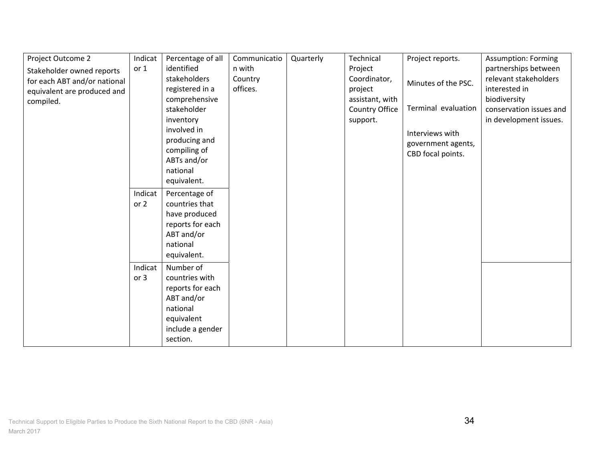| Project Outcome 2            | Indicat         | Percentage of all             | Communicatio | Quarterly | Technical       | Project reports.    | <b>Assumption: Forming</b> |
|------------------------------|-----------------|-------------------------------|--------------|-----------|-----------------|---------------------|----------------------------|
| Stakeholder owned reports    | or 1            | identified                    | n with       |           | Project         |                     | partnerships between       |
| for each ABT and/or national |                 | stakeholders                  | Country      |           | Coordinator,    | Minutes of the PSC. | relevant stakeholders      |
| equivalent are produced and  |                 | registered in a               | offices.     |           | project         |                     | interested in              |
| compiled.                    |                 | comprehensive                 |              |           | assistant, with |                     | biodiversity               |
|                              |                 | stakeholder                   |              |           | Country Office  | Terminal evaluation | conservation issues and    |
|                              |                 | inventory                     |              |           | support.        |                     | in development issues.     |
|                              |                 | involved in                   |              |           |                 | Interviews with     |                            |
|                              |                 | producing and<br>compiling of |              |           |                 | government agents,  |                            |
|                              |                 | ABTs and/or                   |              |           |                 | CBD focal points.   |                            |
|                              |                 | national                      |              |           |                 |                     |                            |
|                              |                 | equivalent.                   |              |           |                 |                     |                            |
|                              | Indicat         | Percentage of                 |              |           |                 |                     |                            |
|                              | or 2            | countries that                |              |           |                 |                     |                            |
|                              |                 | have produced                 |              |           |                 |                     |                            |
|                              |                 | reports for each              |              |           |                 |                     |                            |
|                              |                 | ABT and/or                    |              |           |                 |                     |                            |
|                              |                 | national                      |              |           |                 |                     |                            |
|                              |                 | equivalent.                   |              |           |                 |                     |                            |
|                              | Indicat         | Number of                     |              |           |                 |                     |                            |
|                              | or <sub>3</sub> | countries with                |              |           |                 |                     |                            |
|                              |                 | reports for each              |              |           |                 |                     |                            |
|                              |                 | ABT and/or                    |              |           |                 |                     |                            |
|                              |                 | national                      |              |           |                 |                     |                            |
|                              |                 | equivalent                    |              |           |                 |                     |                            |
|                              |                 | include a gender              |              |           |                 |                     |                            |
|                              |                 | section.                      |              |           |                 |                     |                            |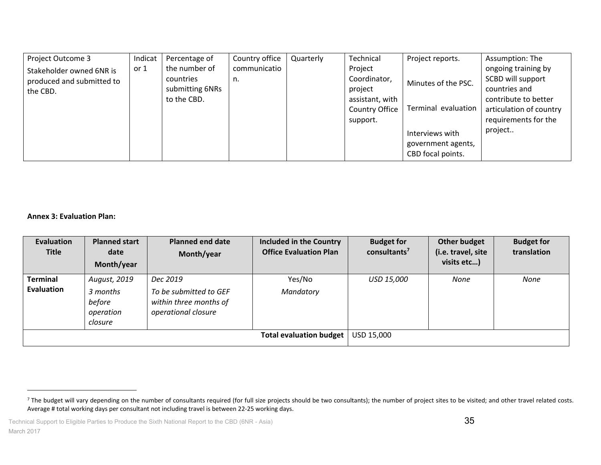| Project Outcome 3                                                 | Indicat | Percentage of                                                | Country office     | Quarterly | Technical                                                                           | Project reports.                                                                                         | Assumption: The                                                                                                                                 |
|-------------------------------------------------------------------|---------|--------------------------------------------------------------|--------------------|-----------|-------------------------------------------------------------------------------------|----------------------------------------------------------------------------------------------------------|-------------------------------------------------------------------------------------------------------------------------------------------------|
| Stakeholder owned 6NR is<br>produced and submitted to<br>the CBD. | or 1    | the number of<br>countries<br>submitting 6NRs<br>to the CBD. | communicatio<br>n. |           | Project<br>Coordinator,<br>project<br>assistant, with<br>Country Office<br>support. | Minutes of the PSC.<br>Terminal evaluation<br>Interviews with<br>government agents,<br>CBD focal points. | ongoing training by<br>SCBD will support<br>countries and<br>contribute to better<br>articulation of country<br>requirements for the<br>project |

**Annex 3: Evaluation Plan:** 

| Evaluation<br><b>Title</b>    | <b>Planned start</b><br>date<br>Month/year                 | <b>Planned end date</b><br>Month/year                                               | Included in the Country<br><b>Office Evaluation Plan</b> | <b>Budget for</b><br>consultants <sup>7</sup> | <b>Other budget</b><br>(i.e. travel, site<br>visits etc) | <b>Budget for</b><br>translation |
|-------------------------------|------------------------------------------------------------|-------------------------------------------------------------------------------------|----------------------------------------------------------|-----------------------------------------------|----------------------------------------------------------|----------------------------------|
| <b>Terminal</b><br>Evaluation | August, 2019<br>3 months<br>before<br>operation<br>closure | Dec 2019<br>To be submitted to GEF<br>within three months of<br>operational closure | Yes/No<br>Mandatory                                      | USD 15,000                                    | None                                                     | None                             |
|                               |                                                            |                                                                                     | <b>Total evaluation budget</b>                           | USD 15.000                                    |                                                          |                                  |

<sup>&</sup>lt;sup>7</sup> The budget will vary depending on the number of consultants required (for full size projects should be two consultants); the number of project sites to be visited; and other travel related costs. Average # total working days per consultant not including travel is between 22‐25 working days.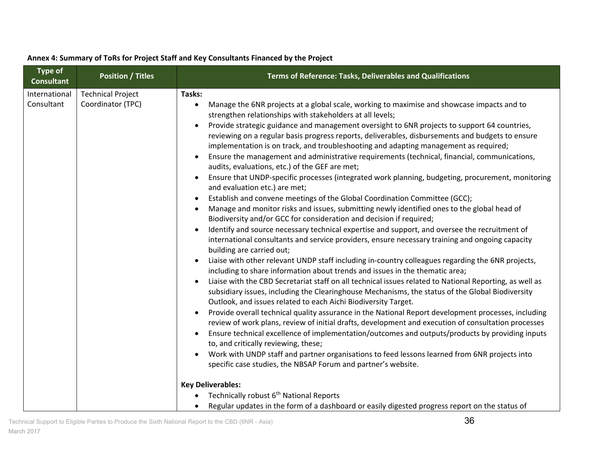| <b>Type of</b><br><b>Consultant</b> | <b>Position / Titles</b>                      | Terms of Reference: Tasks, Deliverables and Qualifications                                                                                                                                                                                                                                                                                                                                                                                                                                                                                                                                                                                                                                                                                                                                                                                                                                                                                                                                                                                                                                                                                                                                                                                                                                                                                                                                                                                                                                                                                                                                                                                                                                                                                                                                                                                                                                                                                                                                                                                                                                                                                                                                                                                                                                                                                                                                                                                          |
|-------------------------------------|-----------------------------------------------|-----------------------------------------------------------------------------------------------------------------------------------------------------------------------------------------------------------------------------------------------------------------------------------------------------------------------------------------------------------------------------------------------------------------------------------------------------------------------------------------------------------------------------------------------------------------------------------------------------------------------------------------------------------------------------------------------------------------------------------------------------------------------------------------------------------------------------------------------------------------------------------------------------------------------------------------------------------------------------------------------------------------------------------------------------------------------------------------------------------------------------------------------------------------------------------------------------------------------------------------------------------------------------------------------------------------------------------------------------------------------------------------------------------------------------------------------------------------------------------------------------------------------------------------------------------------------------------------------------------------------------------------------------------------------------------------------------------------------------------------------------------------------------------------------------------------------------------------------------------------------------------------------------------------------------------------------------------------------------------------------------------------------------------------------------------------------------------------------------------------------------------------------------------------------------------------------------------------------------------------------------------------------------------------------------------------------------------------------------------------------------------------------------------------------------------------------------|
| International<br>Consultant         | <b>Technical Project</b><br>Coordinator (TPC) | Tasks:<br>Manage the 6NR projects at a global scale, working to maximise and showcase impacts and to<br>$\bullet$<br>strengthen relationships with stakeholders at all levels;<br>Provide strategic guidance and management oversight to 6NR projects to support 64 countries,<br>$\bullet$<br>reviewing on a regular basis progress reports, deliverables, disbursements and budgets to ensure<br>implementation is on track, and troubleshooting and adapting management as required;<br>Ensure the management and administrative requirements (technical, financial, communications,<br>$\bullet$<br>audits, evaluations, etc.) of the GEF are met;<br>Ensure that UNDP-specific processes (integrated work planning, budgeting, procurement, monitoring<br>and evaluation etc.) are met;<br>Establish and convene meetings of the Global Coordination Committee (GCC);<br>$\bullet$<br>Manage and monitor risks and issues, submitting newly identified ones to the global head of<br>Biodiversity and/or GCC for consideration and decision if required;<br>Identify and source necessary technical expertise and support, and oversee the recruitment of<br>$\bullet$<br>international consultants and service providers, ensure necessary training and ongoing capacity<br>building are carried out;<br>Liaise with other relevant UNDP staff including in-country colleagues regarding the 6NR projects,<br>$\bullet$<br>including to share information about trends and issues in the thematic area;<br>Liaise with the CBD Secretariat staff on all technical issues related to National Reporting, as well as<br>$\bullet$<br>subsidiary issues, including the Clearinghouse Mechanisms, the status of the Global Biodiversity<br>Outlook, and issues related to each Aichi Biodiversity Target.<br>Provide overall technical quality assurance in the National Report development processes, including<br>$\bullet$<br>review of work plans, review of initial drafts, development and execution of consultation processes<br>Ensure technical excellence of implementation/outcomes and outputs/products by providing inputs<br>to, and critically reviewing, these;<br>Work with UNDP staff and partner organisations to feed lessons learned from 6NR projects into<br>$\bullet$<br>specific case studies, the NBSAP Forum and partner's website.<br><b>Key Deliverables:</b><br>Technically robust 6 <sup>th</sup> National Reports |
|                                     |                                               | Regular updates in the form of a dashboard or easily digested progress report on the status of                                                                                                                                                                                                                                                                                                                                                                                                                                                                                                                                                                                                                                                                                                                                                                                                                                                                                                                                                                                                                                                                                                                                                                                                                                                                                                                                                                                                                                                                                                                                                                                                                                                                                                                                                                                                                                                                                                                                                                                                                                                                                                                                                                                                                                                                                                                                                      |

### **Annex 4: Summary of ToRs for Project Staff and Key Consultants Financed by the Project**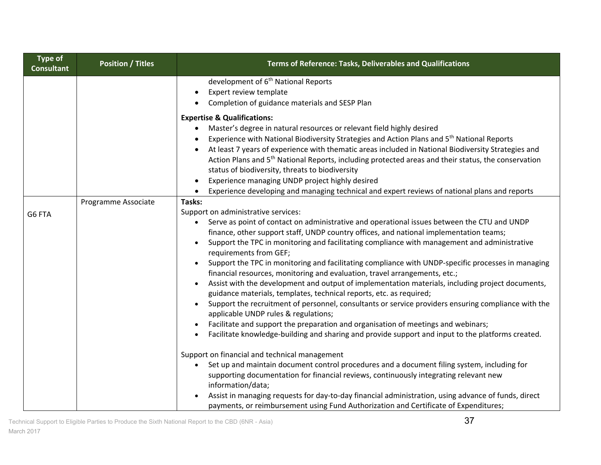| <b>Type of</b><br><b>Consultant</b> | <b>Position / Titles</b> | <b>Terms of Reference: Tasks, Deliverables and Qualifications</b>                                                                                                                |
|-------------------------------------|--------------------------|----------------------------------------------------------------------------------------------------------------------------------------------------------------------------------|
|                                     |                          | development of 6 <sup>th</sup> National Reports                                                                                                                                  |
|                                     |                          | Expert review template                                                                                                                                                           |
|                                     |                          | Completion of guidance materials and SESP Plan                                                                                                                                   |
|                                     |                          | <b>Expertise &amp; Qualifications:</b>                                                                                                                                           |
|                                     |                          | Master's degree in natural resources or relevant field highly desired                                                                                                            |
|                                     |                          | Experience with National Biodiversity Strategies and Action Plans and 5 <sup>th</sup> National Reports                                                                           |
|                                     |                          | At least 7 years of experience with thematic areas included in National Biodiversity Strategies and                                                                              |
|                                     |                          | Action Plans and 5 <sup>th</sup> National Reports, including protected areas and their status, the conservation                                                                  |
|                                     |                          | status of biodiversity, threats to biodiversity                                                                                                                                  |
|                                     |                          | Experience managing UNDP project highly desired                                                                                                                                  |
|                                     |                          | Experience developing and managing technical and expert reviews of national plans and reports                                                                                    |
|                                     | Programme Associate      | Tasks:                                                                                                                                                                           |
| G6 FTA                              |                          | Support on administrative services:                                                                                                                                              |
|                                     |                          | Serve as point of contact on administrative and operational issues between the CTU and UNDP<br>$\bullet$                                                                         |
|                                     |                          | finance, other support staff, UNDP country offices, and national implementation teams;                                                                                           |
|                                     |                          | Support the TPC in monitoring and facilitating compliance with management and administrative                                                                                     |
|                                     |                          | requirements from GEF;                                                                                                                                                           |
|                                     |                          | Support the TPC in monitoring and facilitating compliance with UNDP-specific processes in managing<br>financial resources, monitoring and evaluation, travel arrangements, etc.; |
|                                     |                          | Assist with the development and output of implementation materials, including project documents,                                                                                 |
|                                     |                          | guidance materials, templates, technical reports, etc. as required;                                                                                                              |
|                                     |                          | Support the recruitment of personnel, consultants or service providers ensuring compliance with the                                                                              |
|                                     |                          | applicable UNDP rules & regulations;                                                                                                                                             |
|                                     |                          | Facilitate and support the preparation and organisation of meetings and webinars;                                                                                                |
|                                     |                          | Facilitate knowledge-building and sharing and provide support and input to the platforms created.                                                                                |
|                                     |                          | Support on financial and technical management                                                                                                                                    |
|                                     |                          | Set up and maintain document control procedures and a document filing system, including for<br>$\bullet$                                                                         |
|                                     |                          | supporting documentation for financial reviews, continuously integrating relevant new<br>information/data;                                                                       |
|                                     |                          | Assist in managing requests for day-to-day financial administration, using advance of funds, direct                                                                              |
|                                     |                          | payments, or reimbursement using Fund Authorization and Certificate of Expenditures;                                                                                             |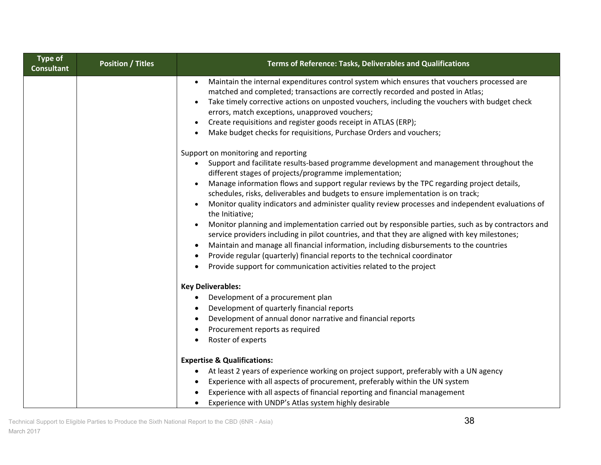| <b>Type of</b><br><b>Consultant</b> | <b>Position / Titles</b> | <b>Terms of Reference: Tasks, Deliverables and Qualifications</b>                                                                                                                                                                                                                                                                                                                                                                                                                                                                                                                                                                                                                                                                                                                                                                                                                                                                                                                     |
|-------------------------------------|--------------------------|---------------------------------------------------------------------------------------------------------------------------------------------------------------------------------------------------------------------------------------------------------------------------------------------------------------------------------------------------------------------------------------------------------------------------------------------------------------------------------------------------------------------------------------------------------------------------------------------------------------------------------------------------------------------------------------------------------------------------------------------------------------------------------------------------------------------------------------------------------------------------------------------------------------------------------------------------------------------------------------|
|                                     |                          | Maintain the internal expenditures control system which ensures that vouchers processed are<br>matched and completed; transactions are correctly recorded and posted in Atlas;<br>Take timely corrective actions on unposted vouchers, including the vouchers with budget check<br>errors, match exceptions, unapproved vouchers;<br>Create requisitions and register goods receipt in ATLAS (ERP);<br>Make budget checks for requisitions, Purchase Orders and vouchers;                                                                                                                                                                                                                                                                                                                                                                                                                                                                                                             |
|                                     |                          | Support on monitoring and reporting<br>Support and facilitate results-based programme development and management throughout the<br>$\bullet$<br>different stages of projects/programme implementation;<br>Manage information flows and support regular reviews by the TPC regarding project details,<br>schedules, risks, deliverables and budgets to ensure implementation is on track;<br>Monitor quality indicators and administer quality review processes and independent evaluations of<br>the Initiative;<br>Monitor planning and implementation carried out by responsible parties, such as by contractors and<br>service providers including in pilot countries, and that they are aligned with key milestones;<br>Maintain and manage all financial information, including disbursements to the countries<br>$\bullet$<br>Provide regular (quarterly) financial reports to the technical coordinator<br>Provide support for communication activities related to the project |
|                                     |                          | <b>Key Deliverables:</b><br>Development of a procurement plan<br>$\bullet$<br>Development of quarterly financial reports<br>Development of annual donor narrative and financial reports<br>Procurement reports as required<br>Roster of experts<br><b>Expertise &amp; Qualifications:</b>                                                                                                                                                                                                                                                                                                                                                                                                                                                                                                                                                                                                                                                                                             |
|                                     |                          | At least 2 years of experience working on project support, preferably with a UN agency<br>Experience with all aspects of procurement, preferably within the UN system<br>Experience with all aspects of financial reporting and financial management<br>Experience with UNDP's Atlas system highly desirable<br>$\bullet$                                                                                                                                                                                                                                                                                                                                                                                                                                                                                                                                                                                                                                                             |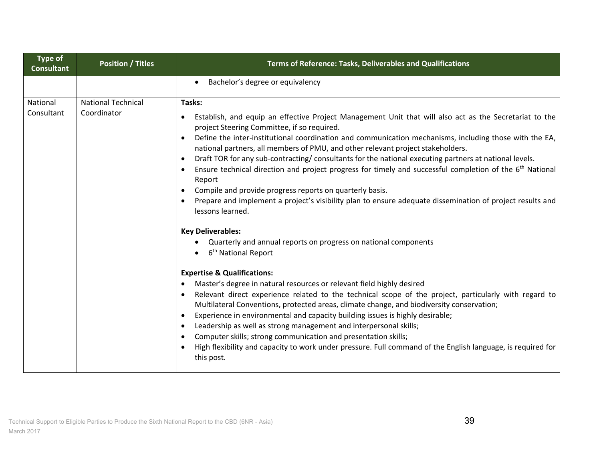| Type of<br><b>Consultant</b> | <b>Position / Titles</b>                 | <b>Terms of Reference: Tasks, Deliverables and Qualifications</b>                                                                                                                                                                                                                                                                                                                                                                                                                                                                                                                                                                                                                                                                                                                                                                                                                                                                                                                                                                                                                                                                                                                                                                                                                                                                                                                                                                                                                                                                                                                                                                                                                                  |
|------------------------------|------------------------------------------|----------------------------------------------------------------------------------------------------------------------------------------------------------------------------------------------------------------------------------------------------------------------------------------------------------------------------------------------------------------------------------------------------------------------------------------------------------------------------------------------------------------------------------------------------------------------------------------------------------------------------------------------------------------------------------------------------------------------------------------------------------------------------------------------------------------------------------------------------------------------------------------------------------------------------------------------------------------------------------------------------------------------------------------------------------------------------------------------------------------------------------------------------------------------------------------------------------------------------------------------------------------------------------------------------------------------------------------------------------------------------------------------------------------------------------------------------------------------------------------------------------------------------------------------------------------------------------------------------------------------------------------------------------------------------------------------------|
|                              |                                          | Bachelor's degree or equivalency<br>$\bullet$                                                                                                                                                                                                                                                                                                                                                                                                                                                                                                                                                                                                                                                                                                                                                                                                                                                                                                                                                                                                                                                                                                                                                                                                                                                                                                                                                                                                                                                                                                                                                                                                                                                      |
| National<br>Consultant       | <b>National Technical</b><br>Coordinator | Tasks:<br>Establish, and equip an effective Project Management Unit that will also act as the Secretariat to the<br>project Steering Committee, if so required.<br>Define the inter-institutional coordination and communication mechanisms, including those with the EA,<br>$\bullet$<br>national partners, all members of PMU, and other relevant project stakeholders.<br>Draft TOR for any sub-contracting/consultants for the national executing partners at national levels.<br>$\bullet$<br>Ensure technical direction and project progress for timely and successful completion of the 6 <sup>th</sup> National<br>Report<br>Compile and provide progress reports on quarterly basis.<br>$\bullet$<br>Prepare and implement a project's visibility plan to ensure adequate dissemination of project results and<br>lessons learned.<br><b>Key Deliverables:</b><br>Quarterly and annual reports on progress on national components<br>6 <sup>th</sup> National Report<br><b>Expertise &amp; Qualifications:</b><br>Master's degree in natural resources or relevant field highly desired<br>Relevant direct experience related to the technical scope of the project, particularly with regard to<br>$\bullet$<br>Multilateral Conventions, protected areas, climate change, and biodiversity conservation;<br>Experience in environmental and capacity building issues is highly desirable;<br>$\bullet$<br>Leadership as well as strong management and interpersonal skills;<br>Computer skills; strong communication and presentation skills;<br>$\bullet$<br>High flexibility and capacity to work under pressure. Full command of the English language, is required for<br>this post. |